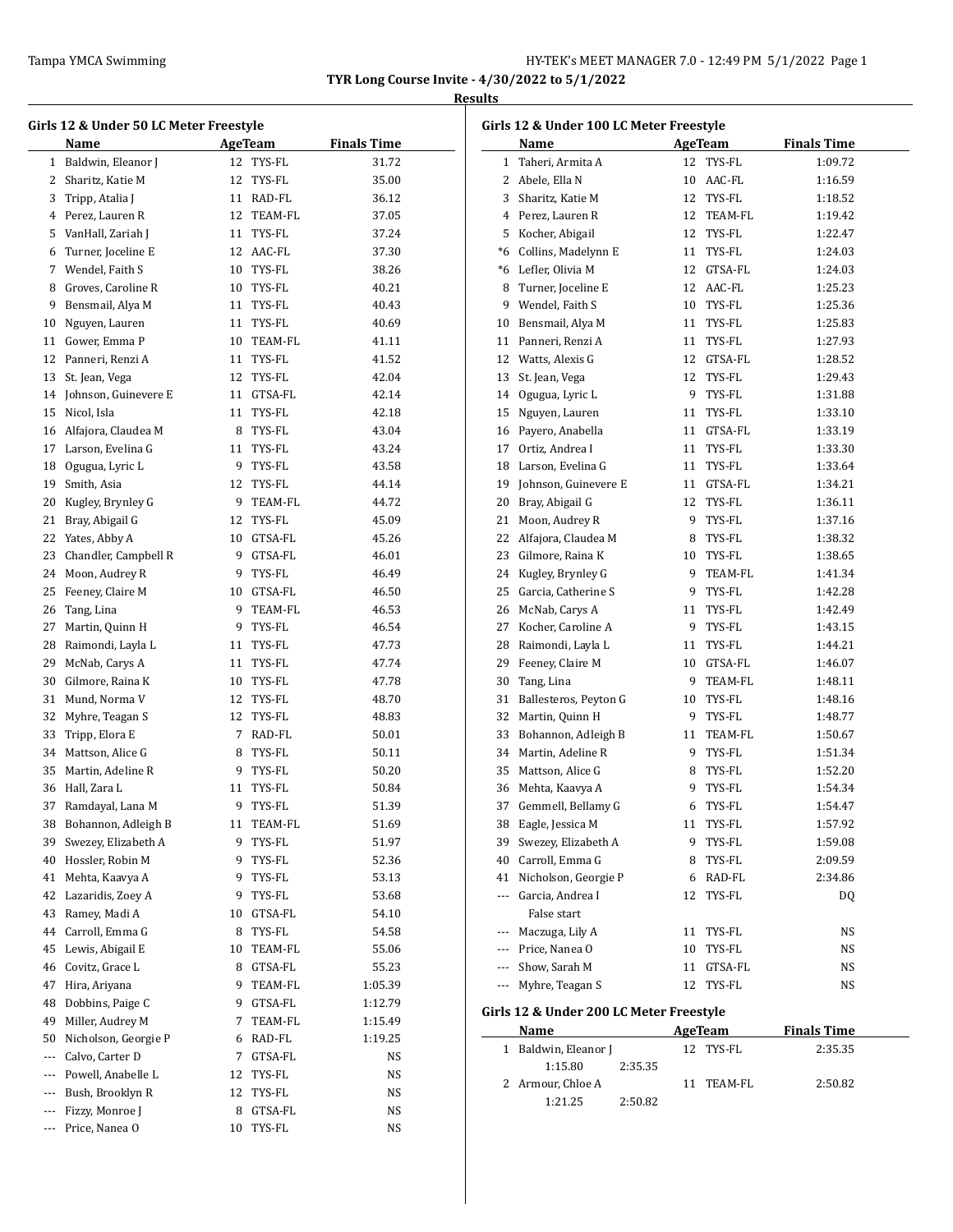# **Results**

 $\overline{\phantom{a}}$ 

| Girls 12 & Under 50 LC Meter Freestyle |                         |    |                |                    |  |  |  |
|----------------------------------------|-------------------------|----|----------------|--------------------|--|--|--|
|                                        | Name                    |    | <b>AgeTeam</b> | <b>Finals Time</b> |  |  |  |
|                                        | 1 Baldwin, Eleanor J    |    | 12 TYS-FL      | 31.72              |  |  |  |
|                                        | 2 Sharitz, Katie M      |    | 12 TYS-FL      | 35.00              |  |  |  |
|                                        | 3 Tripp, Atalia J       |    | 11 RAD-FL      | 36.12              |  |  |  |
|                                        | 4 Perez, Lauren R       |    | 12 TEAM-FL     | 37.05              |  |  |  |
|                                        | 5 VanHall, Zariah J     |    | 11 TYS-FL      | 37.24              |  |  |  |
|                                        | 6 Turner, Joceline E    |    | 12 AAC-FL      | 37.30              |  |  |  |
|                                        | 7 Wendel, Faith S       |    | 10 TYS-FL      | 38.26              |  |  |  |
| 8                                      | Groves, Caroline R      |    | 10 TYS-FL      | 40.21              |  |  |  |
|                                        | 9 Bensmail, Alya M      |    | 11 TYS-FL      | 40.43              |  |  |  |
|                                        | 10 Nguyen, Lauren       |    | 11 TYS-FL      | 40.69              |  |  |  |
| 11                                     | Gower, Emma P           |    | 10 TEAM-FL     | 41.11              |  |  |  |
| 12                                     | Panneri, Renzi A        |    | 11 TYS-FL      | 41.52              |  |  |  |
| 13                                     | St. Jean, Vega          |    | 12 TYS-FL      | 42.04              |  |  |  |
|                                        | 14 Johnson, Guinevere E |    | 11 GTSA-FL     | 42.14              |  |  |  |
|                                        | Nicol, Isla             |    |                |                    |  |  |  |
| 15                                     |                         |    | 11 TYS-FL      | 42.18              |  |  |  |
|                                        | 16 Alfajora, Claudea M  |    | 8 TYS-FL       | 43.04              |  |  |  |
|                                        | 17 Larson, Evelina G    |    | 11 TYS-FL      | 43.24              |  |  |  |
| 18                                     | Ogugua, Lyric L         |    | 9 TYS-FL       | 43.58              |  |  |  |
| 19                                     | Smith, Asia             |    | 12 TYS-FL      | 44.14              |  |  |  |
|                                        | 20 Kugley, Brynley G    |    | 9 TEAM-FL      | 44.72              |  |  |  |
|                                        | 21 Bray, Abigail G      |    | 12 TYS-FL      | 45.09              |  |  |  |
|                                        | 22 Yates, Abby A        |    | 10 GTSA-FL     | 45.26              |  |  |  |
|                                        | 23 Chandler, Campbell R |    | 9 GTSA-FL      | 46.01              |  |  |  |
|                                        | 24 Moon, Audrey R       |    | 9 TYS-FL       | 46.49              |  |  |  |
| 25                                     | Feeney, Claire M        |    | 10 GTSA-FL     | 46.50              |  |  |  |
| 26                                     | Tang, Lina              |    | 9 TEAM-FL      | 46.53              |  |  |  |
| 27                                     | Martin, Quinn H         |    | 9 TYS-FL       | 46.54              |  |  |  |
| 28                                     | Raimondi, Layla L       |    | 11 TYS-FL      | 47.73              |  |  |  |
| 29                                     | McNab, Carys A          | 11 | TYS-FL         | 47.74              |  |  |  |
| 30                                     | Gilmore, Raina K        |    | 10 TYS-FL      | 47.78              |  |  |  |
| 31                                     | Mund, Norma V           |    | 12 TYS-FL      | 48.70              |  |  |  |
|                                        | 32 Myhre, Teagan S      |    | 12 TYS-FL      | 48.83              |  |  |  |
|                                        | 33 Tripp, Elora E       |    | 7 RAD-FL       | 50.01              |  |  |  |
|                                        | 34 Mattson, Alice G     |    | 8 TYS-FL       | 50.11              |  |  |  |
|                                        | 35 Martin, Adeline R    | 9  | TYS-FL         | 50.20              |  |  |  |
|                                        | 36 Hall, Zara L         | 11 | TYS-FL         | 50.84              |  |  |  |
| 37                                     | Ramdayal, Lana M        | 9  | TYS-FL         | 51.39              |  |  |  |
| 38                                     | Bohannon, Adleigh B     | 11 | TEAM-FL        | 51.69              |  |  |  |
| 39                                     | Swezey, Elizabeth A     | 9  | TYS-FL         | 51.97              |  |  |  |
| 40                                     | Hossler, Robin M        | 9  | TYS-FL         | 52.36              |  |  |  |
| 41                                     | Mehta, Kaavya A         | 9  | TYS-FL         | 53.13              |  |  |  |
| 42                                     | Lazaridis, Zoey A       | 9  | TYS-FL         | 53.68              |  |  |  |
| 43                                     | Ramey, Madi A           | 10 | GTSA-FL        | 54.10              |  |  |  |
| 44                                     | Carroll, Emma G         | 8  | TYS-FL         | 54.58              |  |  |  |
| 45                                     | Lewis, Abigail E        | 10 | TEAM-FL        | 55.06              |  |  |  |
| 46                                     | Covitz, Grace L         | 8  | GTSA-FL        | 55.23              |  |  |  |
| 47                                     | Hira, Ariyana           | 9. | TEAM-FL        | 1:05.39            |  |  |  |
| 48                                     | Dobbins, Paige C        | 9  | GTSA-FL        | 1:12.79            |  |  |  |
| 49                                     | Miller, Audrey M        | 7  | TEAM-FL        | 1:15.49            |  |  |  |
| 50                                     | Nicholson, Georgie P    | 6  | RAD-FL         | 1:19.25            |  |  |  |
| ---                                    | Calvo, Carter D         | 7  | GTSA-FL        | NS                 |  |  |  |
| ---                                    | Powell, Anabelle L      | 12 | TYS-FL         | NS                 |  |  |  |
| ---                                    | Bush, Brooklyn R        | 12 | TYS-FL         | NS                 |  |  |  |
| ---                                    | Fizzy, Monroe J         | 8  | GTSA-FL        | NS                 |  |  |  |
| ---                                    | Price, Nanea O          | 10 | TYS-FL         | NS                 |  |  |  |
|                                        |                         |    |                |                    |  |  |  |

| Girls 12 & Under 100 LC Meter Freestyle |                                         |    |                |                    |  |  |  |
|-----------------------------------------|-----------------------------------------|----|----------------|--------------------|--|--|--|
|                                         | Name                                    |    | <b>AgeTeam</b> | <b>Finals Time</b> |  |  |  |
| 1                                       | Taheri, Armita A                        | 12 | TYS-FL         | 1:09.72            |  |  |  |
|                                         | 2 Abele, Ella N                         |    | 10 AAC-FL      | 1:16.59            |  |  |  |
|                                         | 3 Sharitz, Katie M                      |    | 12 TYS-FL      | 1:18.52            |  |  |  |
|                                         | 4 Perez, Lauren R                       |    | 12 TEAM-FL     | 1:19.42            |  |  |  |
|                                         | 5 Kocher, Abigail                       |    | 12 TYS-FL      | 1:22.47            |  |  |  |
|                                         | *6 Collins, Madelynn E                  |    | 11 TYS-FL      | 1:24.03            |  |  |  |
|                                         | *6 Lefler, Olivia M                     |    | 12 GTSA-FL     | 1:24.03            |  |  |  |
|                                         | 8 Turner, Joceline E                    |    | 12 AAC-FL      | 1:25.23            |  |  |  |
|                                         | 9 Wendel, Faith S                       |    | 10 TYS-FL      | 1:25.36            |  |  |  |
|                                         | 10 Bensmail, Alya M                     |    | 11 TYS-FL      | 1:25.83            |  |  |  |
|                                         | 11 Panneri, Renzi A                     | 11 | TYS-FL         | 1:27.93            |  |  |  |
|                                         | 12 Watts, Alexis G                      |    | 12 GTSA-FL     | 1:28.52            |  |  |  |
| 13                                      | St. Jean, Vega                          |    | 12 TYS-FL      | 1:29.43            |  |  |  |
|                                         | 14 Ogugua, Lyric L                      |    | 9 TYS-FL       | 1:31.88            |  |  |  |
| 15                                      | Nguyen, Lauren                          |    | 11 TYS-FL      | 1:33.10            |  |  |  |
|                                         | 16 Payero, Anabella                     |    | 11 GTSA-FL     | 1:33.19            |  |  |  |
|                                         | 17 Ortiz, Andrea I                      |    | 11 TYS-FL      | 1:33.30            |  |  |  |
| 18                                      | Larson, Evelina G                       |    | 11 TYS-FL      | 1:33.64            |  |  |  |
| 19                                      | Johnson, Guinevere E                    |    | 11 GTSA-FL     | 1:34.21            |  |  |  |
| 20                                      | Bray, Abigail G                         |    | 12 TYS-FL      | 1:36.11            |  |  |  |
| 21                                      | Moon, Audrey R                          |    | 9 TYS-FL       | 1:37.16            |  |  |  |
|                                         | 22 Alfajora, Claudea M                  |    | 8 TYS-FL       | 1:38.32            |  |  |  |
|                                         | 23 Gilmore, Raina K                     |    | 10 TYS-FL      | 1:38.65            |  |  |  |
|                                         | 24 Kugley, Brynley G                    |    | 9 TEAM-FL      | 1:41.34            |  |  |  |
|                                         | 25 Garcia, Catherine S                  |    | 9 TYS-FL       | 1:42.28            |  |  |  |
|                                         | 26 McNab, Carys A                       |    | 11 TYS-FL      | 1:42.49            |  |  |  |
|                                         | 27 Kocher, Caroline A                   |    | 9 TYS-FL       | 1:43.15            |  |  |  |
|                                         | 28 Raimondi, Layla L                    |    | 11 TYS-FL      | 1:44.21            |  |  |  |
| 29                                      | Feeney, Claire M                        |    | 10 GTSA-FL     | 1:46.07            |  |  |  |
| 30                                      | Tang, Lina                              |    | 9 TEAM-FL      | 1:48.11            |  |  |  |
| 31                                      | Ballesteros, Peyton G                   |    | 10 TYS-FL      | 1:48.16            |  |  |  |
| 32                                      | Martin, Quinn H                         |    | 9 TYS-FL       | 1:48.77            |  |  |  |
| 33                                      | Bohannon, Adleigh B                     |    | 11 TEAM-FL     | 1:50.67            |  |  |  |
|                                         | 34 Martin, Adeline R                    |    | 9 TYS-FL       | 1:51.34            |  |  |  |
|                                         | 35 Mattson, Alice G                     |    | 8 TYS-FL       | 1:52.20            |  |  |  |
| 36                                      | Mehta, Kaavya A                         |    | 9 TYS-FL       | 1:54.34            |  |  |  |
| 37                                      | Gemmell, Bellamy G                      | 6  | TYS-FL         | 1:54.47            |  |  |  |
| 38                                      | Eagle, Jessica M                        | 11 | TYS-FL         | 1:57.92            |  |  |  |
| 39                                      | Swezey, Elizabeth A                     | 9  | TYS-FL         | 1:59.08            |  |  |  |
| 40                                      | Carroll, Emma G                         | 8  | TYS-FL         | 2:09.59            |  |  |  |
| 41                                      | Nicholson, Georgie P                    | 6  | RAD-FL         | 2:34.86            |  |  |  |
| ---                                     | Garcia, Andrea I<br>False start         | 12 | TYS-FL         | DQ                 |  |  |  |
| ---                                     | Maczuga, Lily A                         | 11 | TYS-FL         | NS                 |  |  |  |
| ---                                     | Price, Nanea O                          | 10 | TYS-FL         | NS                 |  |  |  |
| ---                                     | Show, Sarah M                           | 11 | GTSA-FL        | NS                 |  |  |  |
| ---                                     | Myhre, Teagan S                         | 12 | TYS-FL         | NS                 |  |  |  |
|                                         | Girls 12 & Under 200 LC Meter Freestyle |    |                |                    |  |  |  |

| Name               |         | AgeTeam    | <b>Finals Time</b> |  |
|--------------------|---------|------------|--------------------|--|
| Baldwin, Eleanor J |         | 12 TYS-FL  | 2:35.35            |  |
| 1:15.80            | 2:35.35 |            |                    |  |
| 2 Armour, Chloe A  |         | 11 TEAM-FL | 2:50.82            |  |
| 1:21.25            | 2:50.82 |            |                    |  |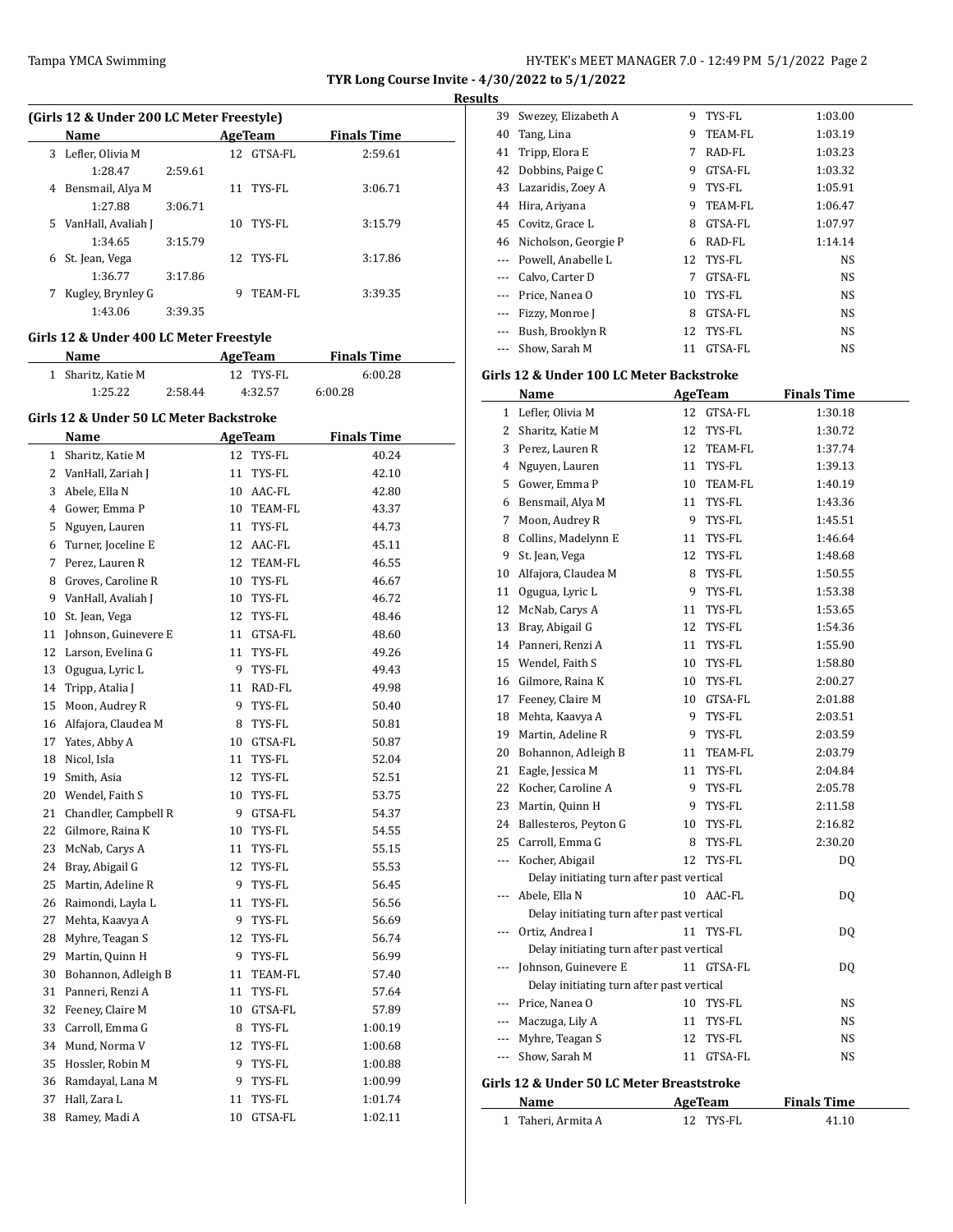### **Results**

|    | (Girls 12 & Under 200 LC Meter Freestyle) |         |    |            |                    |  |  |  |  |
|----|-------------------------------------------|---------|----|------------|--------------------|--|--|--|--|
|    | <b>Name</b>                               |         |    | AgeTeam    | <b>Finals Time</b> |  |  |  |  |
| 3  | Lefler, Olivia M                          |         |    | 12 GTSA-FL | 2:59.61            |  |  |  |  |
|    | 1:28.47                                   | 2:59.61 |    |            |                    |  |  |  |  |
| 4  | Bensmail, Alya M                          |         |    | 11 TYS-FL  | 3:06.71            |  |  |  |  |
|    | 1:27.88                                   | 3:06.71 |    |            |                    |  |  |  |  |
| 5. | VanHall, Avaliah J                        |         | 10 | TYS-FL     | 3:15.79            |  |  |  |  |
|    | 1:34.65                                   | 3:15.79 |    |            |                    |  |  |  |  |
| 6  | St. Jean, Vega                            |         |    | 12 TYS-FL  | 3:17.86            |  |  |  |  |
|    | 1:36.77                                   | 3:17.86 |    |            |                    |  |  |  |  |
|    | Kugley, Brynley G                         |         | 9  | TEAM-FL    | 3:39.35            |  |  |  |  |
|    | 1:43.06                                   | 3:39.35 |    |            |                    |  |  |  |  |

# **Girls 12 & Under 400 LC Meter Freestyle**

| <b>Name</b>        |         | AgeTeam   | <b>Finals Time</b> |  |
|--------------------|---------|-----------|--------------------|--|
| 1 Sharitz, Katie M |         | 12 TYS-FL | 6:00.28            |  |
| 1:25.22            | 2:58.44 | 4:32.57   | 6:00.28            |  |

### **Girls 12 & Under 50 LC Meter Backstroke**

 $\overline{a}$ 

|                | Name                   | <b>AgeTeam</b> |            | <b>Finals Time</b> |  |
|----------------|------------------------|----------------|------------|--------------------|--|
| $\mathbf{1}$   | Sharitz, Katie M       | 12             | TYS-FL     | 40.24              |  |
| $\overline{2}$ | VanHall, Zariah J      | 11             | TYS-FL     | 42.10              |  |
|                | 3 Abele, Ella N        |                | 10 AAC-FL  | 42.80              |  |
|                | 4 Gower, Emma P        | 10             | TEAM-FL    | 43.37              |  |
| 5              | Nguyen, Lauren         | 11             | TYS-FL     | 44.73              |  |
| 6              | Turner, Joceline E     | 12             | AAC-FL     | 45.11              |  |
| $7^{\circ}$    | Perez, Lauren R        | 12             | TEAM-FL    | 46.55              |  |
| 8              | Groves, Caroline R     |                | 10 TYS-FL  | 46.67              |  |
| 9              | VanHall, Avaliah J     |                | 10 TYS-FL  | 46.72              |  |
| 10             | St. Jean, Vega         |                | 12 TYS-FL  | 48.46              |  |
| 11             | Johnson, Guinevere E   | 11             | GTSA-FL    | 48.60              |  |
|                | 12 Larson, Evelina G   |                | 11 TYS-FL  | 49.26              |  |
|                | 13 Ogugua, Lyric L     | 9              | TYS-FL     | 49.43              |  |
|                | 14 Tripp, Atalia J     | 11             | RAD-FL     | 49.98              |  |
| 15             | Moon, Audrey R         | 9              | TYS-FL     | 50.40              |  |
|                | 16 Alfajora, Claudea M | 8              | TYS-FL     | 50.81              |  |
| 17             | Yates, Abby A          | 10             | GTSA-FL    | 50.87              |  |
| 18             | Nicol, Isla            | 11             | TYS-FL     | 52.04              |  |
| 19             | Smith, Asia            | 12             | TYS-FL     | 52.51              |  |
|                | 20 Wendel, Faith S     | 10             | TYS-FL     | 53.75              |  |
| 21             | Chandler, Campbell R   | 9              | GTSA-FL    | 54.37              |  |
| 22             | Gilmore, Raina K       | 10             | TYS-FL     | 54.55              |  |
| 23             | McNab, Carys A         | 11             | TYS-FL     | 55.15              |  |
|                | 24 Bray, Abigail G     | 12             | TYS-FL     | 55.53              |  |
| 25             | Martin, Adeline R      | 9              | TYS-FL     | 56.45              |  |
| 26             | Raimondi, Layla L      | 11             | TYS-FL     | 56.56              |  |
| 27             | Mehta, Kaavya A        | 9.             | TYS-FL     | 56.69              |  |
| 28             | Myhre, Teagan S        | 12             | TYS-FL     | 56.74              |  |
| 29             | Martin, Quinn H        | 9              | TYS-FL     | 56.99              |  |
| 30             | Bohannon, Adleigh B    | 11             | TEAM-FL    | 57.40              |  |
| 31             | Panneri, Renzi A       | 11             | TYS-FL     | 57.64              |  |
| 32             | Feeney, Claire M       |                | 10 GTSA-FL | 57.89              |  |
| 33             | Carroll, Emma G        |                | 8 TYS-FL   | 1:00.19            |  |
| 34             | Mund, Norma V          |                | 12 TYS-FL  | 1:00.68            |  |
| 35             | Hossler, Robin M       | 9              | TYS-FL     | 1:00.88            |  |
| 36             | Ramdayal, Lana M       | 9              | TYS-FL     | 1:00.99            |  |
| 37             | Hall, Zara L           | 11             | TYS-FL     | 1:01.74            |  |
| 38             | Ramey, Madi A          | 10             | GTSA-FL    | 1:02.11            |  |
|                |                        |                |            |                    |  |

| 39       | Swezey, Elizabeth A  | 9  | TYS-FL    | 1:03.00   |  |
|----------|----------------------|----|-----------|-----------|--|
| 40       | Tang, Lina           | 9  | TEAM-FL   | 1:03.19   |  |
| 41       | Tripp, Elora E       | 7  | RAD-FL    | 1:03.23   |  |
| 42       | Dobbins, Paige C     | 9  | GTSA-FL   | 1:03.32   |  |
| 43       | Lazaridis, Zoey A    | 9  | TYS-FL    | 1:05.91   |  |
| 44       | Hira, Ariyana        | 9  | TEAM-FL   | 1:06.47   |  |
| 45       | Covitz, Grace L      | 8  | GTSA-FL   | 1:07.97   |  |
| 46       | Nicholson, Georgie P | 6  | RAD-FL    | 1:14.14   |  |
| $\cdots$ | Powell, Anabelle L   | 12 | TYS-FL    | <b>NS</b> |  |
|          | Calvo, Carter D      | 7  | GTSA-FL   | <b>NS</b> |  |
|          | Price, Nanea O       | 10 | TYS-FL    | <b>NS</b> |  |
| $\cdots$ | Fizzy, Monroe J      | 8  | GTSA-FL   | <b>NS</b> |  |
|          | Bush, Brooklyn R     |    | 12 TYS-FL | <b>NS</b> |  |
|          | Show, Sarah M        | 11 | GTSA-FL   | <b>NS</b> |  |

# **Girls 12 & Under 100 LC Meter Backstroke**

|         | <u>Name</u>                               |    | <b>AgeTeam</b> | <b>Finals Time</b> |
|---------|-------------------------------------------|----|----------------|--------------------|
| 1       | Lefler, Olivia M                          | 12 | GTSA-FL        | 1:30.18            |
|         | 2 Sharitz, Katie M                        | 12 | TYS-FL         | 1:30.72            |
|         | 3 Perez, Lauren R                         | 12 | <b>TEAM-FL</b> | 1:37.74            |
|         | 4 Nguyen, Lauren                          |    | 11 TYS-FL      | 1:39.13            |
|         | 5 Gower, Emma P                           |    | 10 TEAM-FL     | 1:40.19            |
|         | 6 Bensmail, Alya M                        | 11 | TYS-FL         | 1:43.36            |
| 7       | Moon, Audrey R                            | 9  | TYS-FL         | 1:45.51            |
| 8       | Collins, Madelynn E                       | 11 | TYS-FL         | 1:46.64            |
| 9       | St. Jean, Vega                            | 12 | TYS-FL         | 1:48.68            |
| 10      | Alfajora, Claudea M                       | 8  | TYS-FL         | 1:50.55            |
| 11      | Ogugua, Lyric L                           | 9  | TYS-FL         | 1:53.38            |
| 12      | McNab, Carys A                            | 11 | TYS-FL         | 1:53.65            |
| 13      | Bray, Abigail G                           | 12 | TYS-FL         | 1:54.36            |
| 14      | Panneri, Renzi A                          | 11 | TYS-FL         | 1:55.90            |
| 15      | Wendel, Faith S                           | 10 | TYS-FL         | 1:58.80            |
| 16      | Gilmore, Raina K                          | 10 | TYS-FL         | 2:00.27            |
|         | 17 Feeney, Claire M                       |    | 10 GTSA-FL     | 2:01.88            |
|         | 18 Mehta, Kaavya A                        | 9  | TYS-FL         | 2:03.51            |
| 19      | Martin, Adeline R                         | 9  | TYS-FL         | 2:03.59            |
|         | 20 Bohannon, Adleigh B                    |    | 11 TEAM-FL     | 2:03.79            |
| 21      | Eagle, Jessica M                          | 11 | TYS-FL         | 2:04.84            |
| 22      | Kocher, Caroline A                        | 9  | TYS-FL         | 2:05.78            |
| 23      | Martin, Quinn H                           |    | 9 TYS-FL       | 2:11.58            |
|         | 24 Ballesteros, Peyton G                  | 10 | TYS-FL         | 2:16.82            |
| 25      | Carroll, Emma G                           | 8  | TYS-FL         | 2:30.20            |
| ---     | Kocher, Abigail                           | 12 | TYS-FL         | DQ                 |
|         | Delay initiating turn after past vertical |    |                |                    |
| ---     | Abele, Ella N                             |    | 10 AAC-FL      | DQ                 |
|         | Delay initiating turn after past vertical |    |                |                    |
|         | Ortiz, Andrea I                           | 11 | TYS-FL         | DQ                 |
|         | Delay initiating turn after past vertical |    |                |                    |
| ---     | Johnson, Guinevere E                      | 11 | GTSA-FL        | DQ                 |
|         | Delay initiating turn after past vertical |    |                |                    |
| <u></u> | Price, Nanea O                            | 10 | TYS-FL         | NS                 |
| ---     | Maczuga, Lily A                           | 11 | TYS-FL         | NS                 |
| ---     | Myhre, Teagan S                           | 12 | TYS-FL         | NS                 |
| ---     | Show, Sarah M                             |    | 11 GTSA-FL     | NS                 |
|         |                                           |    |                |                    |
|         | Girls 12 & Under 50 LC Meter Breaststroke |    |                |                    |
|         | Name                                      |    | AgeTeam        | <b>Finals Time</b> |

Taheri, Armita A 12 TYS-FL 41.10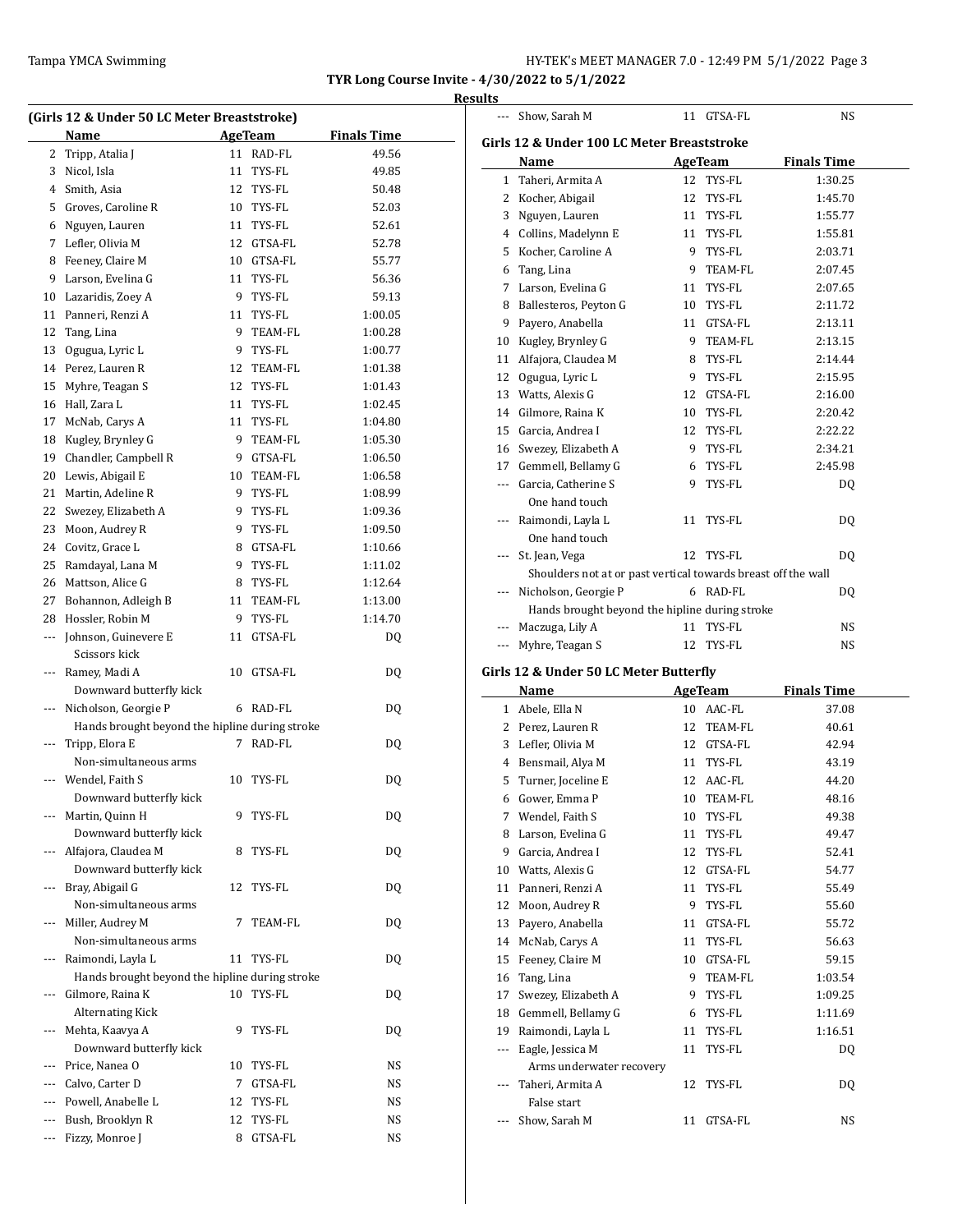--- Show, Sarah M 11 GTSA-FL NS

**TYR Long Course Invite - 4/30/2022 to 5/1/2022 Results**

| (Girls 12 & Under 50 LC Meter Breaststroke) |                                                |                |            |                    |  |  |
|---------------------------------------------|------------------------------------------------|----------------|------------|--------------------|--|--|
|                                             | Name                                           | <b>AgeTeam</b> |            | <b>Finals Time</b> |  |  |
| 2                                           | Tripp, Atalia J                                |                | 11 RAD-FL  | 49.56              |  |  |
| 3                                           | Nicol, Isla                                    | 11             | TYS-FL     | 49.85              |  |  |
| 4                                           | Smith, Asia                                    | 12             | TYS-FL     | 50.48              |  |  |
| 5                                           | Groves, Caroline R                             |                | 10 TYS-FL  | 52.03              |  |  |
|                                             | 6 Nguyen, Lauren                               |                | 11 TYS-FL  | 52.61              |  |  |
| 7                                           | Lefler, Olivia M                               |                | 12 GTSA-FL | 52.78              |  |  |
|                                             | 8 Feeney, Claire M                             |                | 10 GTSA-FL | 55.77              |  |  |
| 9                                           | Larson, Evelina G                              |                | 11 TYS-FL  | 56.36              |  |  |
| 10                                          | Lazaridis, Zoey A                              | 9              | TYS-FL     | 59.13              |  |  |
| 11                                          | Panneri, Renzi A                               |                | 11 TYS-FL  | 1:00.05            |  |  |
| 12                                          | Tang, Lina                                     | 9              | TEAM-FL    | 1:00.28            |  |  |
| 13                                          | Ogugua, Lyric L                                | 9              | TYS-FL     | 1:00.77            |  |  |
|                                             | 14 Perez, Lauren R                             | 12             | TEAM-FL    | 1:01.38            |  |  |
| 15                                          | Myhre, Teagan S                                | 12             | TYS-FL     | 1:01.43            |  |  |
| 16                                          | Hall, Zara L                                   | 11             | TYS-FL     | 1:02.45            |  |  |
| 17                                          | McNab, Carys A                                 | 11             | TYS-FL     | 1:04.80            |  |  |
|                                             | 18 Kugley, Brynley G                           | 9              | TEAM-FL    | 1:05.30            |  |  |
|                                             | 19 Chandler, Campbell R                        |                | 9 GTSA-FL  | 1:06.50            |  |  |
|                                             | 20 Lewis, Abigail E                            |                | 10 TEAM-FL | 1:06.58            |  |  |
|                                             | 21 Martin, Adeline R                           |                | 9 TYS-FL   | 1:08.99            |  |  |
|                                             | 22 Swezey, Elizabeth A                         |                | 9 TYS-FL   | 1:09.36            |  |  |
| 23                                          | Moon, Audrey R                                 |                | 9 TYS-FL   | 1:09.50            |  |  |
|                                             | 24 Covitz, Grace L                             |                | 8 GTSA-FL  | 1:10.66            |  |  |
| 25                                          | Ramdayal, Lana M                               |                | 9 TYS-FL   | 1:11.02            |  |  |
|                                             | 26 Mattson, Alice G                            | 8              | TYS-FL     | 1:12.64            |  |  |
| 27                                          | Bohannon, Adleigh B                            |                | 11 TEAM-FL | 1:13.00            |  |  |
| 28                                          | Hossler, Robin M                               | 9              | TYS-FL     | 1:14.70            |  |  |
| $\cdots$                                    | Johnson, Guinevere E<br>Scissors kick          | 11             | GTSA-FL    | DQ                 |  |  |
| ---                                         | Ramey, Madi A                                  | 10             | GTSA-FL    | DQ                 |  |  |
|                                             | Downward butterfly kick                        |                |            |                    |  |  |
| ---                                         | Nicholson, Georgie P                           |                | 6 RAD-FL   | DQ                 |  |  |
|                                             | Hands brought beyond the hipline during stroke |                |            |                    |  |  |
| ---                                         | Tripp, Elora E<br>Non-simultaneous arms        | 7              | RAD-FL     | DQ                 |  |  |
|                                             | Wendel, Faith S                                | 10             | TYS-FL     | DQ                 |  |  |
|                                             | Downward butterfly kick                        |                |            |                    |  |  |
| ---                                         | Martin, Quinn H                                | 9              | TYS-FL     | DQ                 |  |  |
|                                             | Downward butterfly kick                        |                |            |                    |  |  |
| ---                                         | Alfajora, Claudea M                            | 8              | TYS-FL     | DQ                 |  |  |
|                                             | Downward butterfly kick                        |                |            |                    |  |  |
| ---                                         | Bray, Abigail G                                | 12             | TYS-FL     | DQ                 |  |  |
|                                             | Non-simultaneous arms                          |                |            |                    |  |  |
| ---                                         | Miller, Audrey M                               | 7              | TEAM-FL    | DQ                 |  |  |
|                                             | Non-simultaneous arms                          |                |            |                    |  |  |
| ---                                         | Raimondi, Layla L                              | 11             | TYS-FL     | DQ                 |  |  |
|                                             | Hands brought beyond the hipline during stroke |                |            |                    |  |  |
|                                             | Gilmore, Raina K                               | 10             | TYS-FL     | DQ                 |  |  |
|                                             | <b>Alternating Kick</b>                        |                |            |                    |  |  |
| ---                                         | Mehta, Kaavya A                                | 9              | TYS-FL     | DQ                 |  |  |
|                                             | Downward butterfly kick                        |                |            |                    |  |  |
|                                             | --- Price, Nanea O                             | 10             | TYS-FL     | NS                 |  |  |
|                                             | --- Calvo, Carter D                            | 7              | GTSA-FL    | NS                 |  |  |
|                                             | --- Powell, Anabelle L                         | 12             | TYS-FL     | NS                 |  |  |
| ---                                         | Bush, Brooklyn R                               | 12             | TYS-FL     | NS                 |  |  |
| ---                                         | Fizzy, Monroe J                                | 8              | GTSA-FL    | NS                 |  |  |

| Girls 12 & Under 100 LC Meter Breaststroke |                                                               |    |                |                    |  |  |  |
|--------------------------------------------|---------------------------------------------------------------|----|----------------|--------------------|--|--|--|
|                                            | Name                                                          |    | AgeTeam        | <b>Finals Time</b> |  |  |  |
|                                            | 1 Taheri, Armita A                                            |    | 12 TYS-FL      | 1:30.25            |  |  |  |
|                                            | 2 Kocher, Abigail                                             | 12 | TYS-FL         | 1:45.70            |  |  |  |
|                                            | 3 Nguyen, Lauren                                              |    | 11 TYS-FL      | 1:55.77            |  |  |  |
|                                            | 4 Collins, Madelynn E                                         |    | 11 TYS-FL      | 1:55.81            |  |  |  |
| 5                                          | Kocher, Caroline A                                            |    | 9 TYS-FL       | 2:03.71            |  |  |  |
|                                            | 6 Tang, Lina                                                  | 9  | TEAM-FL        | 2:07.45            |  |  |  |
|                                            | 7 Larson, Evelina G                                           |    | 11 TYS-FL      | 2:07.65            |  |  |  |
|                                            | 8 Ballesteros, Peyton G                                       |    | 10 TYS-FL      | 2:11.72            |  |  |  |
|                                            | 9 Payero, Anabella                                            |    | 11 GTSA-FL     | 2:13.11            |  |  |  |
|                                            | 10 Kugley, Brynley G                                          |    | 9 TEAM-FL      | 2:13.15            |  |  |  |
|                                            | 11 Alfajora, Claudea M                                        |    | 8 TYS-FL       | 2:14.44            |  |  |  |
|                                            | 12 Ogugua, Lyric L                                            | 9  | TYS-FL         | 2:15.95            |  |  |  |
|                                            | 13 Watts, Alexis G                                            |    | 12 GTSA-FL     | 2:16.00            |  |  |  |
|                                            | 14 Gilmore, Raina K                                           | 10 | TYS-FL         | 2:20.42            |  |  |  |
|                                            | 15 Garcia, Andrea I                                           |    | 12 TYS-FL      | 2:22.22            |  |  |  |
|                                            | 16 Swezey, Elizabeth A                                        |    | 9 TYS-FL       | 2:34.21            |  |  |  |
|                                            |                                                               |    |                | 2:45.98            |  |  |  |
|                                            | 17 Gemmell, Bellamy G                                         | 6  | TYS-FL         |                    |  |  |  |
|                                            | --- Garcia, Catherine S                                       | 9  | TYS-FL         | DQ                 |  |  |  |
|                                            | One hand touch                                                |    |                |                    |  |  |  |
|                                            | --- Raimondi, Layla L                                         | 11 | TYS-FL         | DQ                 |  |  |  |
|                                            | One hand touch                                                |    |                |                    |  |  |  |
| $---$                                      | St. Jean, Vega                                                |    | 12 TYS-FL      | DQ                 |  |  |  |
|                                            | Shoulders not at or past vertical towards breast off the wall |    |                |                    |  |  |  |
|                                            | --- Nicholson, Georgie P                                      |    | 6 RAD-FL       | DQ                 |  |  |  |
|                                            | Hands brought beyond the hipline during stroke                |    |                |                    |  |  |  |
|                                            | --- Maczuga, Lily A                                           | 11 | TYS-FL         | NS                 |  |  |  |
| $---$                                      | Myhre, Teagan S                                               |    | 12 TYS-FL      | NS                 |  |  |  |
|                                            | Girls 12 & Under 50 LC Meter Butterfly                        |    |                |                    |  |  |  |
|                                            | Name                                                          |    | AgeTeam        | <b>Finals Time</b> |  |  |  |
|                                            | 1 Abele, Ella N                                               |    | 10 AAC-FL      | 37.08              |  |  |  |
|                                            | 2 Perez, Lauren R                                             |    | 12 TEAM-FL     | 40.61              |  |  |  |
|                                            | 3 Lefler, Olivia M                                            |    | 12 GTSA-FL     | 42.94              |  |  |  |
|                                            | 4 Bensmail, Alya M                                            |    | 11 TYS-FL      | 43.19              |  |  |  |
|                                            | 5 Turner, Joceline E                                          |    | 12 AAC-FL      | 44.20              |  |  |  |
|                                            | 6 Gower, Emma P                                               |    | 10 TEAM-FL     | 48.16              |  |  |  |
| 7                                          | Wendel, Faith S                                               | 10 | TYS-FL         | 49.38              |  |  |  |
| 8                                          | Larson, Evelina G                                             | 11 | TYS-FL         | 49.47              |  |  |  |
| 9                                          | Garcia, Andrea I                                              | 12 | TYS-FL         | 52.41              |  |  |  |
| 10                                         | Watts, Alexis G                                               | 12 | GTSA-FL        | 54.77              |  |  |  |
| 11                                         | Panneri, Renzi A                                              | 11 | TYS-FL         | 55.49              |  |  |  |
|                                            |                                                               |    |                |                    |  |  |  |
|                                            | 12 Moon, Audrey R                                             | 9. | TYS-FL         | 55.60              |  |  |  |
|                                            | 13 Payero, Anabella                                           | 11 | GTSA-FL        | 55.72              |  |  |  |
|                                            | 14 McNab, Carys A                                             | 11 | TYS-FL         | 56.63              |  |  |  |
| 15                                         | Feeney, Claire M                                              | 10 | GTSA-FL        | 59.15              |  |  |  |
|                                            | 16 Tang, Lina                                                 | 9. | <b>TEAM-FL</b> | 1:03.54            |  |  |  |
| 17                                         | Swezey, Elizabeth A                                           | 9  | TYS-FL         | 1:09.25            |  |  |  |
|                                            | 18 Gemmell, Bellamy G                                         | 6  | TYS-FL         | 1:11.69            |  |  |  |
| 19                                         | Raimondi, Layla L                                             | 11 | TYS-FL         | 1:16.51            |  |  |  |
| ---                                        | Eagle, Jessica M                                              | 11 | TYS-FL         | DQ                 |  |  |  |
|                                            |                                                               |    |                |                    |  |  |  |
|                                            | Arms underwater recovery                                      |    |                |                    |  |  |  |
| ---                                        | Taheri, Armita A                                              | 12 | TYS-FL         | DQ                 |  |  |  |
|                                            | False start                                                   |    |                |                    |  |  |  |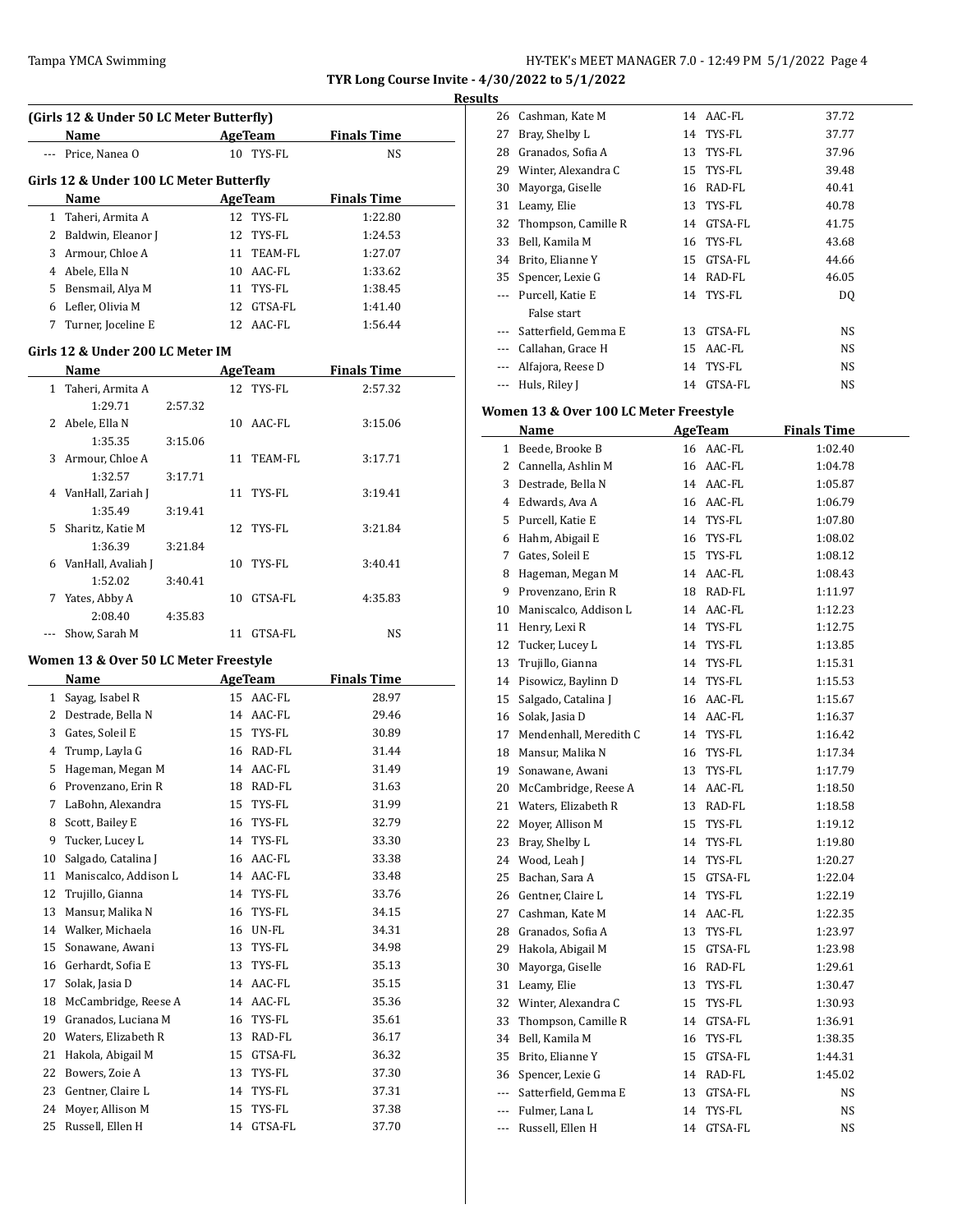### **Results**

|              | (Girls 12 & Under 50 LC Meter Butterfly) |         |     |            |                    |  |  |  |
|--------------|------------------------------------------|---------|-----|------------|--------------------|--|--|--|
|              | Name                                     |         |     | AgeTeam    | <b>Finals Time</b> |  |  |  |
|              | Price, Nanea O                           |         | 10  | TYS-FL     | NS.                |  |  |  |
|              | Girls 12 & Under 100 LC Meter Butterfly  |         |     |            |                    |  |  |  |
|              | Name                                     |         |     | AgeTeam    | <b>Finals Time</b> |  |  |  |
| 1            | Taheri, Armita A                         |         |     | 12 TYS-FL  | 1:22.80            |  |  |  |
| 2            | Baldwin, Eleanor J                       |         | 12  | TYS-FL     | 1:24.53            |  |  |  |
| 3            | Armour, Chloe A                          |         | 11  | TEAM-FL    | 1:27.07            |  |  |  |
| 4            | Abele, Ella N                            |         | 10  | AAC-FL     | 1:33.62            |  |  |  |
| 5            | Bensmail, Alya M                         |         | 11  | TYS-FL     | 1:38.45            |  |  |  |
| 6            | Lefler, Olivia M                         |         |     | 12 GTSA-FL | 1:41.40            |  |  |  |
| 7            | Turner, Joceline E                       |         |     | 12 AAC-FL  | 1:56.44            |  |  |  |
|              | Girls 12 & Under 200 LC Meter IM         |         |     |            |                    |  |  |  |
|              | Name                                     |         |     | AgeTeam    | <b>Finals Time</b> |  |  |  |
| $\mathbf{1}$ | Taheri, Armita A                         |         |     | 12 TYS-FL  | 2:57.32            |  |  |  |
|              | 1:29.71                                  | 2:57.32 |     |            |                    |  |  |  |
| 2            | Abele, Ella N                            |         | 10. | AAC-FL     | 3:15.06            |  |  |  |
|              | 1:35.35                                  | 3:15.06 |     |            |                    |  |  |  |

|    | 1:35.35             | 3:15.06 |    |            |         |
|----|---------------------|---------|----|------------|---------|
| 3  | Armour, Chloe A     |         |    | 11 TEAM-FL | 3:17.71 |
|    | 1:32.57             | 3:17.71 |    |            |         |
|    | 4 VanHall, Zariah J |         | 11 | TYS-FL     | 3:19.41 |
|    | 1:35.49             | 3:19.41 |    |            |         |
| 5. | Sharitz, Katie M    |         |    | 12 TYS-FL  | 3:21.84 |
|    | 1:36.39             | 3:21.84 |    |            |         |
| 6  | VanHall, Avaliah J  |         | 10 | TYS-FL     | 3:40.41 |
|    | 1:52.02             | 3:40.41 |    |            |         |
| 7  | Yates, Abby A       |         | 10 | GTSA-FL    | 4:35.83 |
|    | 2:08.40             | 4:35.83 |    |            |         |
|    | Show. Sarah M       |         | 11 | GTSA-FL    | NS      |

### **Women 13 & Over 50 LC Meter Freestyle**

|    | Name                  |    | <b>AgeTeam</b> | <b>Finals Time</b> |
|----|-----------------------|----|----------------|--------------------|
| 1  | Sayag, Isabel R       | 15 | AAC-FL         | 28.97              |
| 2  | Destrade, Bella N     | 14 | AAC-FL         | 29.46              |
| 3  | Gates, Soleil E       | 15 | TYS-FL         | 30.89              |
| 4  | Trump, Layla G        | 16 | RAD-FL         | 31.44              |
| 5  | Hageman, Megan M      | 14 | AAC-FL         | 31.49              |
| 6  | Provenzano, Erin R    | 18 | RAD-FL         | 31.63              |
| 7  | LaBohn, Alexandra     | 15 | TYS-FL         | 31.99              |
| 8  | Scott, Bailey E       | 16 | TYS-FL         | 32.79              |
| 9  | Tucker, Lucey L       | 14 | TYS-FL         | 33.30              |
| 10 | Salgado, Catalina J   | 16 | AAC-FL         | 33.38              |
| 11 | Maniscalco, Addison L | 14 | AAC-FL         | 33.48              |
| 12 | Trujillo, Gianna      | 14 | TYS-FL         | 33.76              |
| 13 | Mansur, Malika N      | 16 | TYS-FL         | 34.15              |
| 14 | Walker, Michaela      | 16 | UN-FL          | 34.31              |
| 15 | Sonawane, Awani       | 13 | TYS-FL         | 34.98              |
| 16 | Gerhardt, Sofia E     | 13 | TYS-FL         | 35.13              |
| 17 | Solak, Jasia D        | 14 | AAC-FL         | 35.15              |
| 18 | McCambridge, Reese A  | 14 | AAC-FL         | 35.36              |
| 19 | Granados, Luciana M   | 16 | TYS-FL         | 35.61              |
| 20 | Waters, Elizabeth R   | 13 | RAD-FL         | 36.17              |
| 21 | Hakola, Abigail M     | 15 | GTSA-FL        | 36.32              |
| 22 | Bowers, Zoie A        | 13 | TYS-FL         | 37.30              |
| 23 | Gentner, Claire L     | 14 | TYS-FL         | 37.31              |
| 24 | Mover, Allison M      | 15 | TYS-FL         | 37.38              |
| 25 | Russell. Ellen H      | 14 | GTSA-FL        | 37.70              |

| 26       | Cashman, Kate M      | 14 | AAC-FL    | 37.72 |
|----------|----------------------|----|-----------|-------|
| 27       | Bray, Shelby L       | 14 | TYS-FL    | 37.77 |
| 28       | Granados, Sofia A    | 13 | TYS-FL    | 37.96 |
| 29       | Winter, Alexandra C  |    | 15 TYS-FL | 39.48 |
| 30       | Mayorga, Giselle     | 16 | RAD-FL    | 40.41 |
| 31       | Leamy, Elie          | 13 | TYS-FL    | 40.78 |
| 32       | Thompson, Camille R  | 14 | GTSA-FL   | 41.75 |
| 33       | Bell, Kamila M       | 16 | TYS-FL    | 43.68 |
| 34       | Brito, Elianne Y     | 15 | GTSA-FL   | 44.66 |
| 35       | Spencer, Lexie G     | 14 | RAD-FL    | 46.05 |
|          | Purcell, Katie E     |    | 14 TYS-FL | DQ    |
|          | False start          |    |           |       |
|          | Satterfield, Gemma E | 13 | GTSA-FL   | NS    |
| $\cdots$ | Callahan, Grace H    | 15 | AAC-FL    | NS    |
|          | Alfajora, Reese D    | 14 | TYS-FL    | NS    |
|          | Huls, Riley J        | 14 | GTSA-FL   | NS    |

# **Women 13 & Over 100 LC Meter Freestyle**

|              | Name                     |    | <b>AgeTeam</b> | <b>Finals Time</b> |  |
|--------------|--------------------------|----|----------------|--------------------|--|
| $\mathbf{1}$ | Beede, Brooke B          |    | 16 AAC-FL      | 1:02.40            |  |
|              | 2 Cannella, Ashlin M     | 16 | AAC-FL         | 1:04.78            |  |
| 3            | Destrade, Bella N        | 14 | AAC-FL         | 1:05.87            |  |
| 4            | Edwards, Ava A           | 16 | AAC-FL         | 1:06.79            |  |
| 5            | Purcell, Katie E         | 14 | TYS-FL         | 1:07.80            |  |
| 6            | Hahm, Abigail E          | 16 | TYS-FL         | 1:08.02            |  |
| 7            | Gates, Soleil E          | 15 | TYS-FL         | 1:08.12            |  |
| 8            | Hageman, Megan M         | 14 | AAC-FL         | 1:08.43            |  |
| 9            | Provenzano, Erin R       | 18 | RAD-FL         | 1:11.97            |  |
| 10           | Maniscalco, Addison L    | 14 | AAC-FL         | 1:12.23            |  |
| 11           | Henry, Lexi R            | 14 | TYS-FL         | 1:12.75            |  |
| 12           | Tucker, Lucey L          | 14 | TYS-FL         | 1:13.85            |  |
| 13           | Trujillo, Gianna         | 14 | TYS-FL         | 1:15.31            |  |
| 14           | Pisowicz, Baylinn D      | 14 | TYS-FL         | 1:15.53            |  |
| 15           | Salgado, Catalina J      | 16 | AAC-FL         | 1:15.67            |  |
| 16           | Solak, Jasia D           | 14 | AAC-FL         | 1:16.37            |  |
| 17           | Mendenhall, Meredith C   | 14 | TYS-FL         | 1:16.42            |  |
|              | 18 Mansur, Malika N      | 16 | TYS-FL         | 1:17.34            |  |
|              | 19 Sonawane, Awani       | 13 | TYS-FL         | 1:17.79            |  |
| 20           | McCambridge, Reese A     | 14 | AAC-FL         | 1:18.50            |  |
| 21           | Waters, Elizabeth R      | 13 | RAD-FL         | 1:18.58            |  |
| 22           | Moyer, Allison M         | 15 | TYS-FL         | 1:19.12            |  |
| 23           | Bray, Shelby L           | 14 | TYS-FL         | 1:19.80            |  |
|              | 24 Wood, Leah J          | 14 | TYS-FL         | 1:20.27            |  |
| 25           | Bachan, Sara A           | 15 | GTSA-FL        | 1:22.04            |  |
|              | 26 Gentner, Claire L     | 14 | TYS-FL         | 1:22.19            |  |
| 27           | Cashman, Kate M          | 14 | AAC-FL         | 1:22.35            |  |
|              | 28 Granados, Sofia A     | 13 | TYS-FL         | 1:23.97            |  |
| 29           | Hakola, Abigail M        | 15 | GTSA-FL        | 1:23.98            |  |
| 30           | Mayorga, Giselle         | 16 | RAD-FL         | 1:29.61            |  |
| 31           | Leamy, Elie              | 13 | TYS-FL         | 1:30.47            |  |
| 32           | Winter, Alexandra C      | 15 | TYS-FL         | 1:30.93            |  |
| 33           | Thompson, Camille R      | 14 | GTSA-FL        | 1:36.91            |  |
| 34           | Bell, Kamila M           | 16 | TYS-FL         | 1:38.35            |  |
| 35           | Brito, Elianne Y         | 15 | GTSA-FL        | 1:44.31            |  |
|              | 36 Spencer, Lexie G      | 14 | RAD-FL         | 1:45.02            |  |
|              | --- Satterfield, Gemma E | 13 | GTSA-FL        | NS                 |  |
|              | --- Fulmer, Lana L       | 14 | TYS-FL         | NS                 |  |
| $\cdots$     | Russell, Ellen H         | 14 | GTSA-FL        | NS                 |  |
|              |                          |    |                |                    |  |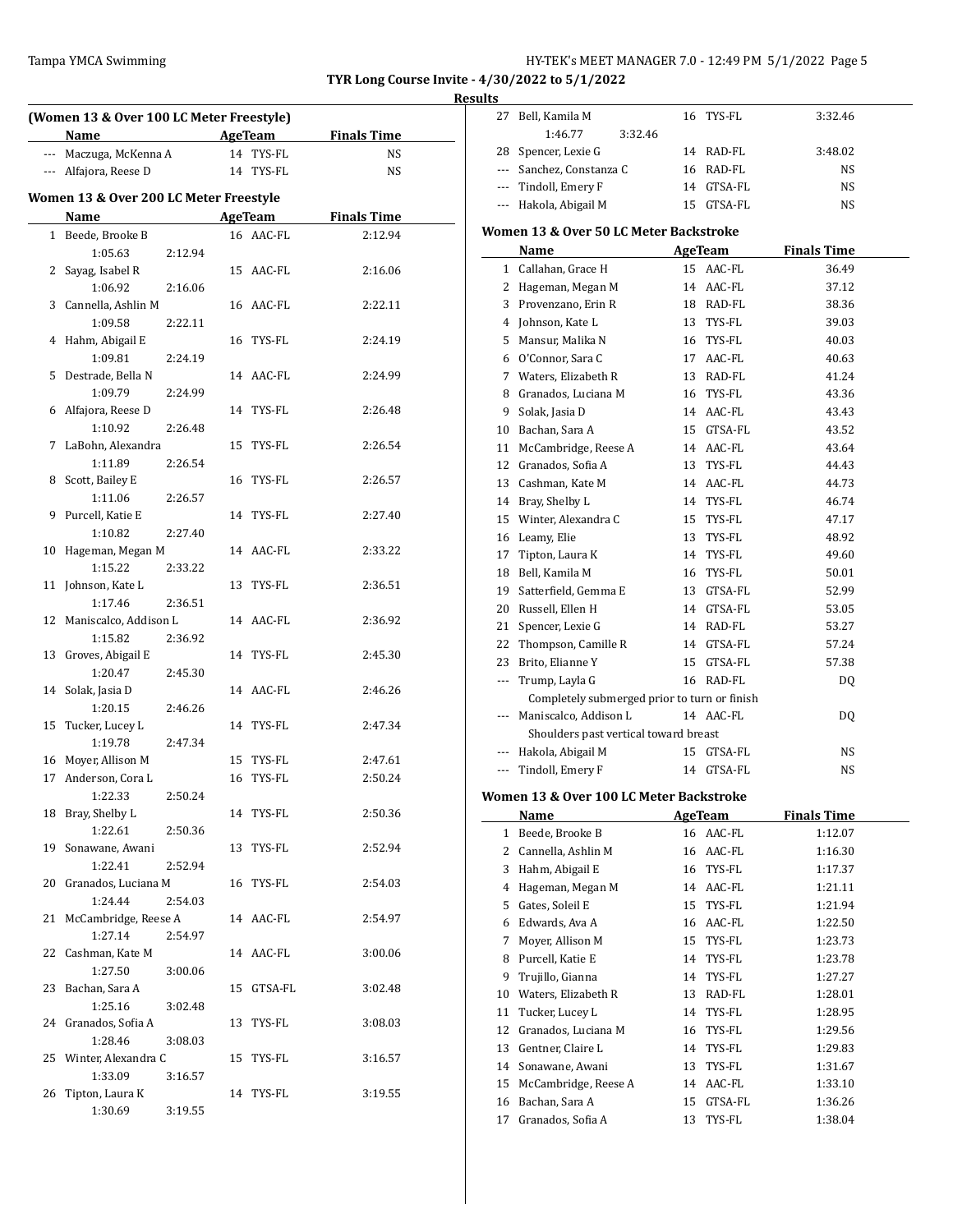# Tampa YMCA Swimming Tampa YMCA Swimming Tampa YMCA Swimming Function of the HY-TEK's MEET MANAGER 7.0 - 12:49 PM 5/1/2022 Page 5

27 Bell, Kamila M 16 TYS-FL 3:32.46

**TYR Long Course Invite - 4/30/2022 to 5/1/2022**

**Results**

 $\overline{\phantom{0}}$ 

|    | (Women 13 & Over 100 LC Meter Freestyle) |         |    |                |                    |  |
|----|------------------------------------------|---------|----|----------------|--------------------|--|
|    | Name                                     |         |    | AgeTeam        | <b>Finals Time</b> |  |
|    | --- Maczuga, McKenna A                   |         |    | 14 TYS-FL      | NS                 |  |
|    | --- Alfajora, Reese D                    |         |    | 14 TYS-FL      | NS                 |  |
|    |                                          |         |    |                |                    |  |
|    | Women 13 & Over 200 LC Meter Freestyle   |         |    |                |                    |  |
|    | Name                                     |         |    | <b>AgeTeam</b> | <b>Finals Time</b> |  |
|    | 1 Beede, Brooke B                        |         |    | 16 AAC-FL      | 2:12.94            |  |
|    | 1:05.63                                  | 2:12.94 |    |                |                    |  |
| 2  | Sayag, Isabel R                          |         |    | 15 AAC-FL      | 2:16.06            |  |
|    | 1:06.92                                  | 2:16.06 |    |                |                    |  |
| 3  | Cannella, Ashlin M                       |         |    | 16 AAC-FL      | 2:22.11            |  |
|    | 1:09.58                                  | 2:22.11 |    |                |                    |  |
|    | 4 Hahm, Abigail E                        |         |    | 16 TYS-FL      | 2:24.19            |  |
|    | 1:09.81                                  | 2:24.19 |    |                |                    |  |
| 5  | Destrade, Bella N                        |         |    | 14 AAC-FL      | 2:24.99            |  |
|    | 1:09.79                                  | 2:24.99 |    |                |                    |  |
| 6  | Alfajora, Reese D                        |         |    | 14 TYS-FL      | 2:26.48            |  |
|    | 1:10.92                                  | 2:26.48 |    |                |                    |  |
| 7  | LaBohn, Alexandra                        |         |    | 15 TYS-FL      | 2:26.54            |  |
|    | 1:11.89                                  |         |    |                |                    |  |
|    |                                          | 2:26.54 |    |                |                    |  |
| 8  | Scott, Bailey E                          |         |    | 16 TYS-FL      | 2:26.57            |  |
|    | 1:11.06                                  | 2:26.57 |    |                |                    |  |
| 9  | Purcell, Katie E                         |         |    | 14 TYS-FL      | 2:27.40            |  |
|    | 1:10.82                                  | 2:27.40 |    |                |                    |  |
| 10 | Hageman, Megan M                         |         |    | 14 AAC-FL      | 2:33.22            |  |
|    | 1:15.22                                  | 2:33.22 |    |                |                    |  |
|    | 11 Johnson, Kate L                       |         |    | 13 TYS-FL      | 2:36.51            |  |
|    | 1:17.46                                  | 2:36.51 |    |                |                    |  |
|    | 12 Maniscalco, Addison L                 |         |    | 14 AAC-FL      | 2:36.92            |  |
|    | 1:15.82                                  | 2:36.92 |    |                |                    |  |
| 13 | Groves, Abigail E                        |         |    | 14 TYS-FL      | 2:45.30            |  |
|    | 1:20.47                                  | 2:45.30 |    |                |                    |  |
| 14 | Solak, Jasia D                           |         |    | 14 AAC-FL      | 2:46.26            |  |
|    | 1:20.15                                  | 2:46.26 |    |                |                    |  |
| 15 | Tucker, Lucey L                          |         |    | 14 TYS-FL      | 2:47.34            |  |
|    | 1:19.78                                  | 2:47.34 |    |                |                    |  |
|    | 16 Moyer, Allison M                      |         |    | 15 TYS-FL      | 2:47.61            |  |
| 17 | Anderson, Cora L                         |         | 16 | TYS-FL         | 2:50.24            |  |
|    | 1:22.33                                  | 2:50.24 |    |                |                    |  |
|    | 18 Bray, Shelby L                        |         |    | 14 TYS-FL      | 2:50.36            |  |
|    | 1:22.61                                  | 2:50.36 |    |                |                    |  |
| 19 | Sonawane, Awani                          |         |    | 13 TYS-FL      | 2:52.94            |  |
|    | 1:22.41                                  | 2:52.94 |    |                |                    |  |
| 20 | Granados, Luciana M                      |         |    | 16 TYS-FL      | 2:54.03            |  |
|    | 1:24.44                                  | 2:54.03 |    |                |                    |  |
| 21 | McCambridge, Reese A                     |         |    | 14 AAC-FL      | 2:54.97            |  |
|    | 1:27.14                                  | 2:54.97 |    |                |                    |  |
|    | 22 Cashman, Kate M                       |         |    | 14 AAC-FL      | 3:00.06            |  |
|    | 1:27.50                                  | 3:00.06 |    |                |                    |  |
|    | 23 Bachan, Sara A                        |         |    | 15 GTSA-FL     | 3:02.48            |  |
|    | 1:25.16                                  | 3:02.48 |    |                |                    |  |
|    | 24 Granados, Sofia A                     |         |    | 13 TYS-FL      | 3:08.03            |  |
|    | 1:28.46                                  | 3:08.03 |    |                |                    |  |
| 25 | Winter, Alexandra C                      |         |    | 15 TYS-FL      | 3:16.57            |  |
|    | 1:33.09                                  | 3:16.57 |    |                |                    |  |
| 26 | Tipton, Laura K                          |         |    | 14 TYS-FL      | 3:19.55            |  |
|    | 1:30.69                                  | 3:19.55 |    |                |                    |  |
|    |                                          |         |    |                |                    |  |

|        | 1:46.77<br>3:32.46                                                                                              |    |                |                    |  |
|--------|-----------------------------------------------------------------------------------------------------------------|----|----------------|--------------------|--|
|        | 28 Spencer, Lexie G                                                                                             |    | 14 RAD-FL      | 3:48.02            |  |
|        | --- Sanchez, Constanza C                                                                                        |    | 16 RAD-FL      | NS                 |  |
|        | --- Tindoll, Emery F                                                                                            |    | 14 GTSA-FL     | NS                 |  |
| ---    | Hakola, Abigail M                                                                                               |    | 15 GTSA-FL     | NS                 |  |
|        | Women 13 & Over 50 LC Meter Backstroke                                                                          |    |                |                    |  |
|        |                                                                                                                 |    |                |                    |  |
|        | Name and the state of the state of the state of the state of the state of the state of the state of the state o |    | <b>AgeTeam</b> | <b>Finals Time</b> |  |
| 1      | Callahan, Grace H                                                                                               |    | 15 AAC-FL      | 36.49              |  |
| 2      | Hageman, Megan M                                                                                                |    | 14 AAC-FL      | 37.12              |  |
| 3      | Provenzano, Erin R                                                                                              |    | 18 RAD-FL      | 38.36              |  |
| 4      | Johnson, Kate L                                                                                                 |    | 13 TYS-FL      | 39.03              |  |
| 5      | Mansur, Malika N                                                                                                |    | 16 TYS-FL      | 40.03              |  |
| 6      | O'Connor, Sara C                                                                                                |    | 17 AAC-FL      | 40.63              |  |
| 7      | Waters, Elizabeth R                                                                                             |    | 13 RAD-FL      | 41.24              |  |
| 8      | Granados, Luciana M                                                                                             |    | 16 TYS-FL      | 43.36              |  |
| 9      | Solak, Jasia D                                                                                                  |    | 14 AAC-FL      | 43.43              |  |
| 10     | Bachan, Sara A                                                                                                  |    | 15 GTSA-FL     | 43.52              |  |
| 11     | McCambridge, Reese A                                                                                            |    | 14 AAC-FL      | 43.64              |  |
| 12     | Granados, Sofia A                                                                                               |    | 13 TYS-FL      | 44.43              |  |
| 13     | Cashman, Kate M                                                                                                 |    | 14 AAC-FL      | 44.73              |  |
|        | 14 Bray, Shelby L                                                                                               |    | 14 TYS-FL      | 46.74              |  |
| 15     | Winter, Alexandra C                                                                                             |    | 15 TYS-FL      | 47.17              |  |
| 16     | Leamy, Elie                                                                                                     |    | 13 TYS-FL      | 48.92              |  |
| 17     | Tipton, Laura K                                                                                                 |    | 14 TYS-FL      | 49.60              |  |
| 18     | Bell, Kamila M                                                                                                  |    | 16 TYS-FL      | 50.01              |  |
| 19     | Satterfield, Gemma E                                                                                            |    | 13 GTSA-FL     | 52.99              |  |
| 20     | Russell, Ellen H                                                                                                |    | 14 GTSA-FL     | 53.05              |  |
| 21     | Spencer, Lexie G                                                                                                |    | 14 RAD-FL      | 53.27              |  |
| 22     | Thompson, Camille R                                                                                             |    | 14 GTSA-FL     | 57.24              |  |
| 23     | Brito, Elianne Y                                                                                                |    | 15 GTSA-FL     | 57.38              |  |
| ---    | Trump, Layla G                                                                                                  |    | 16 RAD-FL      | DQ                 |  |
|        | Completely submerged prior to turn or finish                                                                    |    |                |                    |  |
| ---    | Maniscalco, Addison L                                                                                           |    | 14 AAC-FL      | DQ                 |  |
|        | Shoulders past vertical toward breast                                                                           |    |                |                    |  |
| ---    | Hakola, Abigail M                                                                                               |    | 15 GTSA-FL     | NS                 |  |
| ---    | Tindoll, Emery F                                                                                                |    | 14 GTSA-FL     | NS                 |  |
|        | Women 13 & Over 100 LC Meter Backstroke                                                                         |    |                |                    |  |
|        | Name                                                                                                            |    | AgeTeam        | <b>Finals Time</b> |  |
| 1      | Beede, Brooke B                                                                                                 | 16 | AAC-FL         | 1:12.07            |  |
| 2      | Cannella, Ashlin M                                                                                              | 16 | AAC-FL         | 1:16.30            |  |
| 3      | Hahm, Abigail E                                                                                                 | 16 | TYS-FL         | 1:17.37            |  |
| 4      | Hageman, Megan M                                                                                                | 14 | AAC-FL         |                    |  |
|        | Gates, Soleil E                                                                                                 |    |                | 1:21.11            |  |
| 5<br>6 |                                                                                                                 | 15 | TYS-FL         | 1:21.94            |  |
|        | Edwards, Ava A                                                                                                  | 16 | AAC-FL         | 1:22.50            |  |
| 7      | Moyer, Allison M<br>Purcell, Katie E                                                                            | 15 | TYS-FL         | 1:23.73            |  |
| 8      |                                                                                                                 | 14 | TYS-FL         | 1:23.78            |  |
| 9      | Trujillo, Gianna                                                                                                | 14 | TYS-FL         | 1:27.27            |  |
| 10     | Waters, Elizabeth R                                                                                             | 13 | RAD-FL         | 1:28.01            |  |
| 11     | Tucker, Lucey L                                                                                                 | 14 | TYS-FL         | 1:28.95            |  |
| 12     | Granados, Luciana M                                                                                             | 16 | TYS-FL         | 1:29.56            |  |
| 13     | Gentner, Claire L                                                                                               | 14 | TYS-FL         | 1:29.83            |  |
| 14     | Sonawane, Awani                                                                                                 | 13 | TYS-FL         | 1:31.67            |  |
| 15     | McCambridge, Reese A                                                                                            | 14 | AAC-FL         | 1:33.10            |  |
| 16     | Bachan, Sara A                                                                                                  | 15 | GTSA-FL        | 1:36.26            |  |
| 17     | Granados, Sofia A                                                                                               | 13 | TYS-FL         | 1:38.04            |  |
|        |                                                                                                                 |    |                |                    |  |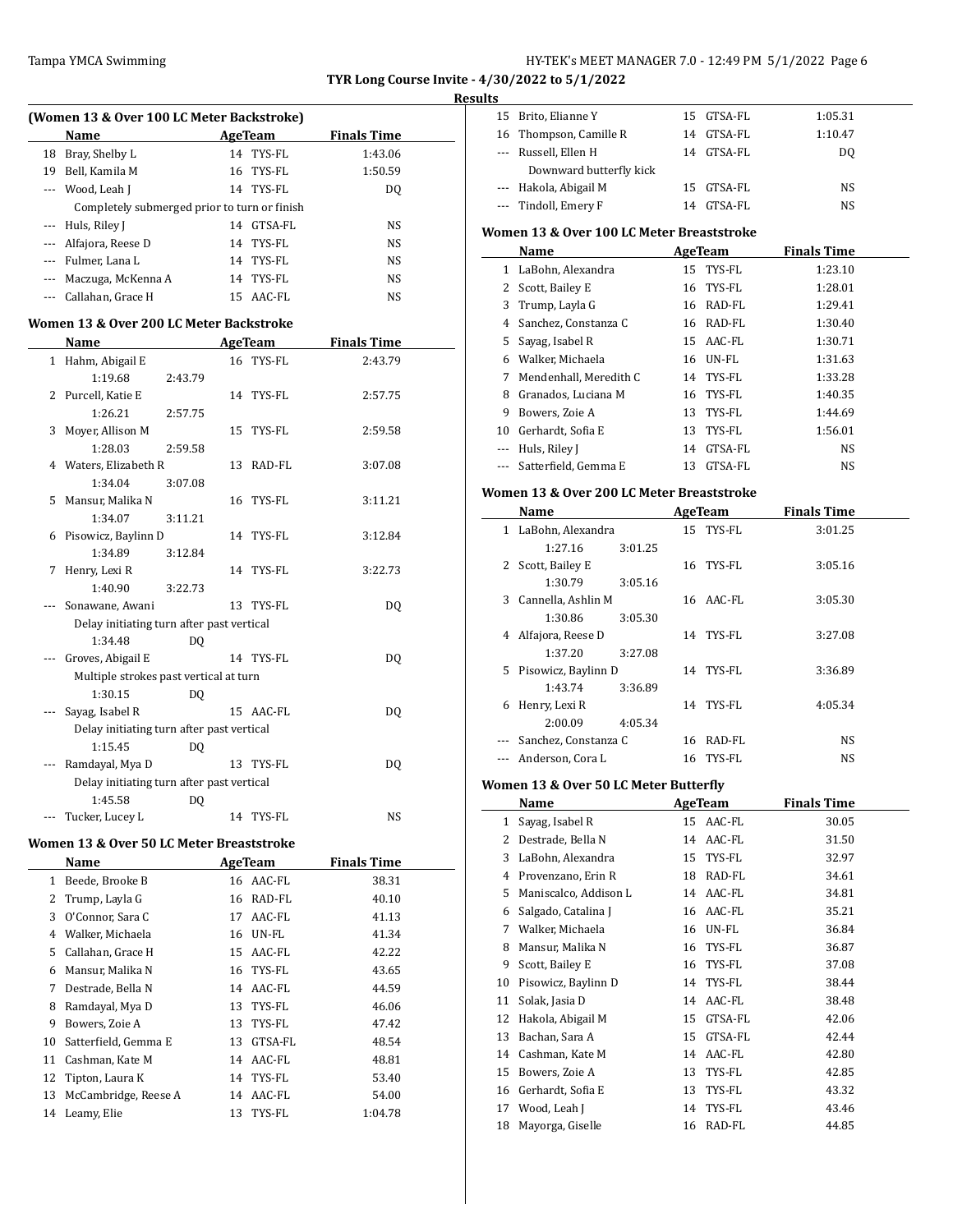$\overline{a}$ 

### Tampa YMCA Swimming Tampa Tampa Solution and the Hy-TEK's MEET MANAGER 7.0 - 12:49 PM 5/1/2022 Page 6

**TYR Long Course Invite - 4/30/2022 to 5/1/2022**

# **Results**<br>**Example 15** Prito Flip

| (Women 13 & Over 100 LC Meter Backstroke) |                                              |    |           |                    |  |  |  |  |
|-------------------------------------------|----------------------------------------------|----|-----------|--------------------|--|--|--|--|
|                                           | <b>Name</b>                                  |    | AgeTeam   | <b>Finals Time</b> |  |  |  |  |
| 18                                        | Bray, Shelby L                               |    | 14 TYS-FL | 1:43.06            |  |  |  |  |
| 19                                        | Bell, Kamila M                               |    | 16 TYS-FL | 1:50.59            |  |  |  |  |
|                                           | --- Wood, Leah J                             |    | 14 TYS-FL | DQ                 |  |  |  |  |
|                                           | Completely submerged prior to turn or finish |    |           |                    |  |  |  |  |
|                                           | --- Huls, Riley J                            | 14 | GTSA-FL   | NS.                |  |  |  |  |
| $\cdots$                                  | Alfajora, Reese D                            |    | 14 TYS-FL | NS                 |  |  |  |  |
|                                           | --- Fulmer, Lana L                           |    | 14 TYS-FL | NS.                |  |  |  |  |
|                                           | Maczuga, McKenna A                           |    | 14 TYS-FL | NS.                |  |  |  |  |
|                                           | Callahan. Grace H                            |    | 15 AAC-FL | NS                 |  |  |  |  |

### **Women 13 & Over 200 LC Meter Backstroke**

|   | Name                                      |                |    | <b>AgeTeam</b> | <b>Finals Time</b> |  |
|---|-------------------------------------------|----------------|----|----------------|--------------------|--|
|   | 1 Hahm, Abigail E                         |                |    | 16 TYS-FL      | 2:43.79            |  |
|   | 1:19.68                                   | 2:43.79        |    |                |                    |  |
|   | 2 Purcell, Katie E                        |                |    | 14 TYS-FL      | 2:57.75            |  |
|   | 1:26.21                                   | 2:57.75        |    |                |                    |  |
|   | 3 Moyer, Allison M                        |                |    | 15 TYS-FL      | 2:59.58            |  |
|   | 1:28.03                                   | 2:59.58        |    |                |                    |  |
|   | 4 Waters, Elizabeth R                     |                |    | 13 RAD-FL      | 3:07.08            |  |
|   | 1:34.04                                   | 3:07.08        |    |                |                    |  |
|   | 5 Mansur, Malika N                        |                |    | 16 TYS-FL      | 3:11.21            |  |
|   | 1:34.07                                   | 3:11.21        |    |                |                    |  |
|   | 6 Pisowicz, Baylinn D                     |                |    | 14 TYS-FL      | 3:12.84            |  |
|   | 1:34.89                                   | 3:12.84        |    |                |                    |  |
| 7 | Henry, Lexi R                             |                |    | 14 TYS-FL      | 3:22.73            |  |
|   | 1:40.90                                   | 3:22.73        |    |                |                    |  |
|   | Sonawane, Awani                           |                |    | 13 TYS-FL      | DO.                |  |
|   | Delay initiating turn after past vertical |                |    |                |                    |  |
|   | 1:34.48                                   | DO.            |    |                |                    |  |
|   | Groves, Abigail E                         |                |    | 14 TYS-FL      | D <sub>0</sub>     |  |
|   | Multiple strokes past vertical at turn    |                |    |                |                    |  |
|   | 1:30.15                                   | D <sub>0</sub> |    |                |                    |  |
|   | Sayag, Isabel R                           |                |    | 15 AAC-FL      | D <sub>0</sub>     |  |
|   | Delay initiating turn after past vertical |                |    |                |                    |  |
|   | 1:15.45                                   | DO.            |    |                |                    |  |
|   | Ramdayal, Mya D                           |                |    | 13 TYS-FL      | DO.                |  |
|   | Delay initiating turn after past vertical |                |    |                |                    |  |
|   | 1:45.58                                   | DQ             |    |                |                    |  |
|   | Tucker, Lucey L                           |                | 14 | TYS-FL         | NS.                |  |

#### **Women 13 & Over 50 LC Meter Breaststroke**

|    | Name                 | AgeTeam |           | <b>Finals Time</b> |  |
|----|----------------------|---------|-----------|--------------------|--|
| 1  | Beede, Brooke B      |         | 16 AAC-FL | 38.31              |  |
|    | 2 Trump, Layla G     |         | 16 RAD-FL | 40.10              |  |
| 3  | O'Connor, Sara C     | 17      | AAC-FL    | 41.13              |  |
| 4  | Walker, Michaela     |         | 16 UN-FL  | 41.34              |  |
| 5. | Callahan, Grace H    |         | 15 AAC-FL | 42.22              |  |
| 6  | Mansur, Malika N     |         | 16 TYS-FL | 43.65              |  |
| 7  | Destrade, Bella N    |         | 14 AAC-FL | 44.59              |  |
| 8  | Ramdayal, Mya D      |         | 13 TYS-FL | 46.06              |  |
| 9  | Bowers, Zoie A       | 13      | TYS-FL    | 47.42              |  |
| 10 | Satterfield, Gemma E | 13      | GTSA-FL   | 48.54              |  |
| 11 | Cashman, Kate M      |         | 14 AAC-FL | 48.81              |  |
| 12 | Tipton, Laura K      |         | 14 TYS-FL | 53.40              |  |
| 13 | McCambridge, Reese A |         | 14 AAC-FL | 54.00              |  |
| 14 | Leamy, Elie          | 13      | TYS-FL    | 1:04.78            |  |
|    |                      |         |           |                    |  |

| 15       | Brito, Elianne Y                          | 15 | GTSA-FL | 1:05.31     |  |
|----------|-------------------------------------------|----|---------|-------------|--|
| 16       | Thompson, Camille R                       | 14 | GTSA-FL | 1:10.47     |  |
|          | Russell, Ellen H                          | 14 | GTSA-FL | DQ          |  |
|          | Downward butterfly kick                   |    |         |             |  |
| $\cdots$ | Hakola, Abigail M                         | 15 | GTSA-FL | NS          |  |
|          | Tindoll, Emery F                          | 14 | GTSA-FL | NS          |  |
|          | Women 13 & Over 100 LC Meter Breaststroke |    |         |             |  |
|          | Name                                      |    | AgeTeam | Finals Time |  |
|          |                                           |    |         |             |  |
| 1        | LaBohn, Alexandra                         | 15 | TYS-FL  | 1:23.10     |  |
|          |                                           |    |         |             |  |
| 2        | Scott, Bailey E                           | 16 | TYS-FL  | 1:28.01     |  |
| 3        | Trump, Layla G                            | 16 | RAD-FL  | 1:29.41     |  |
| 4        | Sanchez, Constanza C                      | 16 | RAD-FL  | 1:30.40     |  |
| 5        | Sayag, Isabel R                           | 15 | AAC-FL  | 1:30.71     |  |
| 6        | Walker, Michaela                          | 16 | UN-FL   | 1:31.63     |  |
| 7        | Mendenhall, Meredith C                    | 14 | TYS-FL  | 1:33.28     |  |
| 8        | Granados, Luciana M                       | 16 | TYS-FL  | 1:40.35     |  |
| 9        | Bowers, Zoie A                            | 13 | TYS-FL  | 1:44.69     |  |

--- Huls, Riley J 14 GTSA-FL NS --- Satterfield, Gemma E 13 GTSA-FL NS

#### **Women 13 & Over 200 LC Meter Breaststroke**

|   | Name                  |         |    | AgeTeam   | <b>Finals Time</b> |  |
|---|-----------------------|---------|----|-----------|--------------------|--|
| 1 | LaBohn, Alexandra     |         |    | 15 TYS-FL | 3:01.25            |  |
|   | 1:27.16               | 3:01.25 |    |           |                    |  |
|   | 2 Scott, Bailey E     |         | 16 | TYS-FL    | 3:05.16            |  |
|   | 1:30.79               | 3:05.16 |    |           |                    |  |
|   | 3 Cannella, Ashlin M  |         |    | 16 AAC-FL | 3:05.30            |  |
|   | 1:30.86               | 3:05.30 |    |           |                    |  |
| 4 | Alfajora, Reese D     |         |    | 14 TYS-FL | 3:27.08            |  |
|   | 1:37.20               | 3:27.08 |    |           |                    |  |
|   | 5 Pisowicz, Baylinn D |         |    | 14 TYS-FL | 3:36.89            |  |
|   | 1:43.74               | 3:36.89 |    |           |                    |  |
| 6 | Henry, Lexi R         |         |    | 14 TYS-FL | 4:05.34            |  |
|   | 2:00.09               | 4:05.34 |    |           |                    |  |
|   | Sanchez, Constanza C  |         | 16 | RAD-FL    | NS                 |  |
|   | Anderson, Cora L      |         |    | 16 TYS-FL | NS                 |  |

#### **Women 13 & Over 50 LC Meter Butterfly**

|    | Name                  |    | <b>AgeTeam</b> | <b>Finals Time</b> |  |
|----|-----------------------|----|----------------|--------------------|--|
| 1  | Sayag, Isabel R       | 15 | AAC-FL         | 30.05              |  |
| 2  | Destrade, Bella N     | 14 | AAC-FL         | 31.50              |  |
| 3  | LaBohn, Alexandra     | 15 | TYS-FL         | 32.97              |  |
| 4  | Provenzano, Erin R    | 18 | RAD-FL         | 34.61              |  |
| 5  | Maniscalco, Addison L | 14 | AAC-FL         | 34.81              |  |
| 6  | Salgado, Catalina J   | 16 | AAC-FL         | 35.21              |  |
| 7  | Walker, Michaela      | 16 | UN-FL          | 36.84              |  |
| 8  | Mansur, Malika N      | 16 | TYS-FL         | 36.87              |  |
| 9  | Scott, Bailey E       | 16 | TYS-FL         | 37.08              |  |
| 10 | Pisowicz, Baylinn D   | 14 | TYS-FL         | 38.44              |  |
| 11 | Solak, Jasia D        | 14 | AAC-FL         | 38.48              |  |
| 12 | Hakola, Abigail M     | 15 | GTSA-FL        | 42.06              |  |
| 13 | Bachan, Sara A        | 15 | GTSA-FL        | 42.44              |  |
| 14 | Cashman, Kate M       | 14 | AAC-FL         | 42.80              |  |
| 15 | Bowers, Zoie A        | 13 | TYS-FL         | 42.85              |  |
| 16 | Gerhardt, Sofia E     | 13 | TYS-FL         | 43.32              |  |
| 17 | Wood, Leah J          | 14 | TYS-FL         | 43.46              |  |
| 18 | Mayorga, Giselle      | 16 | RAD-FL         | 44.85              |  |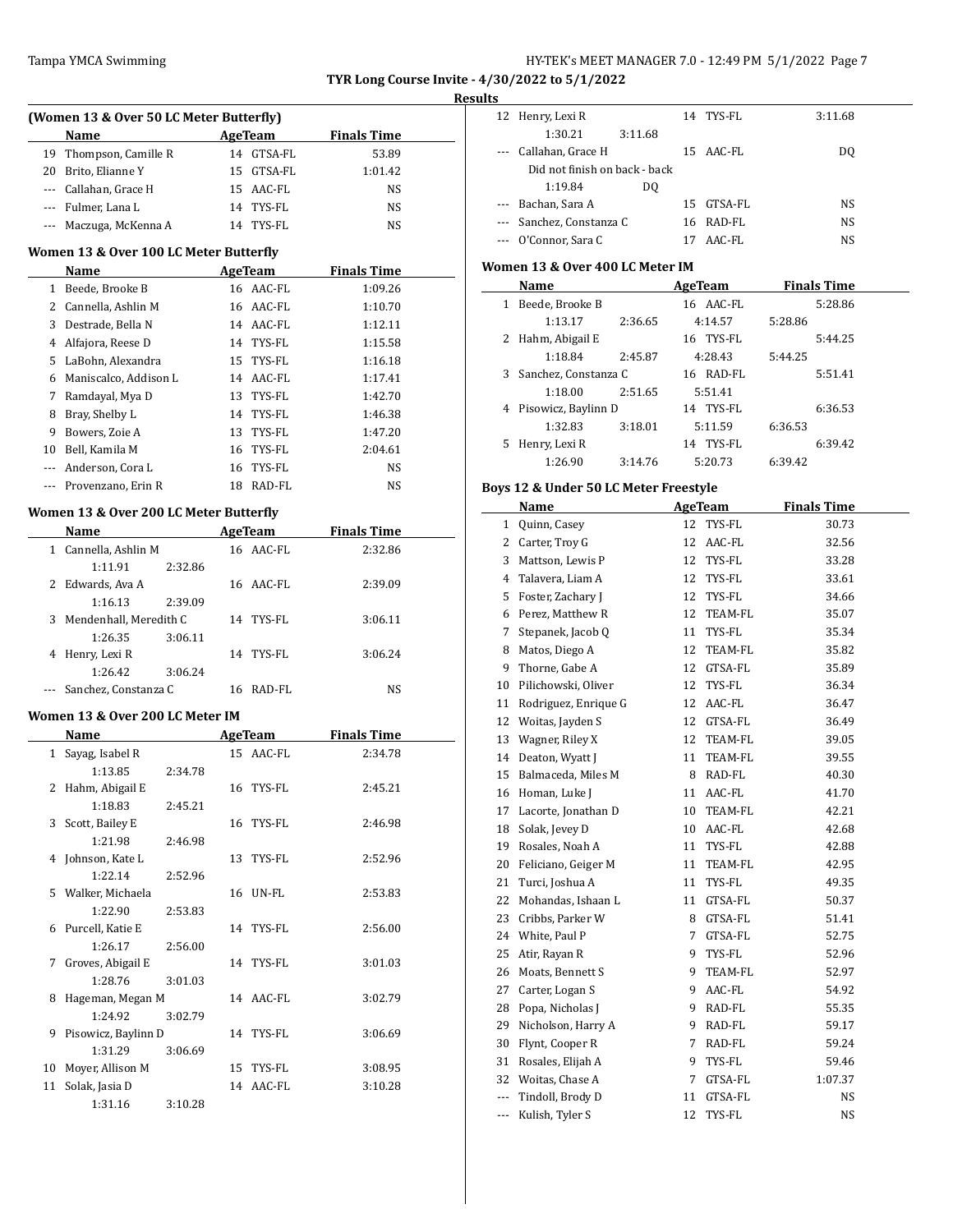### **Results**

|     | ташра тічыл әйішшің                             |                | <b>TYR Long Course Invite</b> | Re |
|-----|-------------------------------------------------|----------------|-------------------------------|----|
|     | (Women 13 & Over 50 LC Meter Butterfly)<br>Name | AgeTeam        | <b>Finals Time</b>            |    |
|     | 19 Thompson, Camille R                          | 14 GTSA-FL     | 53.89                         |    |
| 20  | Brito, Elianne Y                                | 15 GTSA-FL     | 1:01.42                       |    |
|     | --- Callahan, Grace H                           | 15 AAC-FL      | NS.                           |    |
|     | --- Fulmer, Lana L                              | 14 TYS-FL      | NS                            |    |
|     | --- Maczuga, McKenna A                          | 14 TYS-FL      | NS                            |    |
|     | Women 13 & Over 100 LC Meter Butterfly          |                |                               |    |
|     | Name                                            | AgeTeam        | <b>Finals Time</b>            |    |
|     | 1 Beede, Brooke B                               | 16 AAC-FL      | 1:09.26                       |    |
|     | 2 Cannella, Ashlin M                            | 16 AAC-FL      | 1:10.70                       |    |
| 3   | Destrade, Bella N                               | 14 AAC-FL      | 1:12.11                       |    |
|     | 4 Alfajora, Reese D                             | 14 TYS-FL      | 1:15.58                       |    |
|     | 5 LaBohn, Alexandra                             | 15<br>TYS-FL   | 1:16.18                       |    |
|     | 6 Maniscalco, Addison L                         | 14 AAC-FL      | 1:17.41                       |    |
| 7   | Ramdayal, Mya D                                 | TYS-FL<br>13   | 1:42.70                       |    |
| 8   | Bray, Shelby L                                  | TYS-FL<br>14   | 1:46.38                       |    |
| 9   | Bowers, Zoie A                                  | TYS-FL<br>13   | 1:47.20                       |    |
| 10  | Bell, Kamila M                                  | TYS-FL<br>16   | 2:04.61                       |    |
|     | --- Anderson, Cora L                            | TYS-FL<br>16   | NS                            |    |
| --- | Provenzano, Erin R                              | 18 RAD-FL      | NS                            |    |
|     |                                                 |                |                               |    |
|     | Women 13 & Over 200 LC Meter Butterfly          |                |                               |    |
|     | Name                                            | AgeTeam        | <b>Finals Time</b>            |    |
|     | 1 Cannella, Ashlin M                            | 16 AAC-FL      | 2:32.86                       |    |
|     | 1:11.91<br>2:32.86                              |                |                               |    |
| 2   | Edwards, Ava A                                  | 16 AAC-FL      | 2:39.09                       |    |
|     | 1:16.13<br>2:39.09                              |                |                               |    |
| 3   | Mendenhall, Meredith C                          | 14 TYS-FL      | 3:06.11                       |    |
|     | 1:26.35<br>3:06.11                              |                |                               |    |
|     | 4 Henry, Lexi R                                 | 14 TYS-FL      | 3:06.24                       |    |
|     | 1:26.42<br>3:06.24                              |                |                               |    |
|     | Sanchez, Constanza C                            | 16 RAD-FL      | NS                            |    |
|     | Women 13 & Over 200 LC Meter IM                 |                |                               |    |
|     | <b>Name</b>                                     | <b>AgeTeam</b> | <b>Finals Time</b>            |    |
| 1   | Sayag, Isabel R                                 | 15<br>AAC-FL   | 2:34.78                       |    |
|     | 1:13.85<br>2:34.78                              |                |                               |    |
| 2   | Hahm, Abigail E                                 | 16 TYS-FL      | 2:45.21                       |    |
|     | 1:18.83<br>2:45.21                              |                |                               |    |
| 3   | Scott, Bailey E                                 | TYS-FL<br>16   | 2:46.98                       |    |
|     | 1:21.98<br>2:46.98                              |                |                               |    |
|     | 4 Johnson, Kate L<br>1:22.14                    | TYS-FL<br>13   | 2:52.96                       |    |
|     | 2:52.96                                         |                |                               |    |
| 5   | Walker, Michaela                                | 16 UN-FL       | 2:53.83                       |    |
|     | 1:22.90<br>2:53.83                              | 14 TYS-FL      |                               |    |
| 6   | Purcell, Katie E                                |                | 2:56.00                       |    |
|     | 1:26.17<br>2:56.00                              |                |                               |    |
| 7   | Groves, Abigail E<br>1:28.76                    | 14 TYS-FL      | 3:01.03                       |    |
| 8   | 3:01.03<br>Hageman, Megan M                     | 14 AAC-FL      | 3:02.79                       |    |
|     | 1:24.92<br>3:02.79                              |                |                               |    |
| 9   | Pisowicz, Baylinn D                             | 14 TYS-FL      | 3:06.69                       |    |

1:31.29 3:06.69

1:31.16 3:10.28

10 Moyer, Allison M 15 TYS-FL 3:08.95 11 Solak, Jasia D 14 AAC-FL 3:10.28

| w        |                               |         |            |         |
|----------|-------------------------------|---------|------------|---------|
|          | 12 Henry, Lexi R              |         | 14 TYS-FL  | 3:11.68 |
|          | 1:30.21                       | 3:11.68 |            |         |
| $\cdots$ | Callahan, Grace H             |         | 15 AAC-FL  | DO.     |
|          | Did not finish on back - back |         |            |         |
|          | 1:19.84                       | DO.     |            |         |
|          | --- Bachan, Sara A            |         | 15 GTSA-FL | NS      |
|          | --- Sanchez, Constanza C      |         | 16 RAD-FL  | NS.     |
| $\cdots$ | O'Connor, Sara C              |         | AAC-FL     | NS      |

# **Women 13 & Over 400 LC Meter IM**

|    | Name                   |         | AgeTeam      | <b>Finals Time</b> |  |
|----|------------------------|---------|--------------|--------------------|--|
| 1  | Beede, Brooke B        |         | 16 AAC-FL    | 5:28.86            |  |
|    | 1:13.17                | 2:36.65 | 4:14.57      | 5:28.86            |  |
| 2  | Hahm, Abigail E        |         | 16 TYS-FL    | 5:44.25            |  |
|    | 1:18.84                | 2:45.87 | 4:28.43      | 5:44.25            |  |
|    | 3 Sanchez, Constanza C |         | 16 RAD-FL    | 5:51.41            |  |
|    | 1:18.00                | 2:51.65 | 5:51.41      |                    |  |
|    | 4 Pisowicz, Baylinn D  |         | 14 TYS-FL    | 6:36.53            |  |
|    | 1:32.83                | 3:18.01 | 5:11.59      | 6:36.53            |  |
| 5. | Henry, Lexi R          |         | TYS-FL<br>14 | 6:39.42            |  |
|    | 1:26.90                | 3:14.76 | 5:20.73      | 6:39.42            |  |

# **Boys 12 & Under 50 LC Meter Freestyle**

|                | Name                 |    | <b>AgeTeam</b> | <b>Finals Time</b> |  |
|----------------|----------------------|----|----------------|--------------------|--|
| 1              | Quinn, Casey         | 12 | TYS-FL         | 30.73              |  |
| 2              | Carter, Troy G       | 12 | AAC-FL         | 32.56              |  |
| 3              | Mattson, Lewis P     | 12 | TYS-FL         | 33.28              |  |
| 4              | Talavera, Liam A     | 12 | TYS-FL         | 33.61              |  |
| 5              | Foster, Zachary J    | 12 | TYS-FL         | 34.66              |  |
| 6              | Perez, Matthew R     | 12 | TEAM-FL        | 35.07              |  |
| 7              | Stepanek, Jacob Q    | 11 | TYS-FL         | 35.34              |  |
| 8              | Matos, Diego A       | 12 | TEAM-FL        | 35.82              |  |
| 9              | Thorne, Gabe A       | 12 | GTSA-FL        | 35.89              |  |
| 10             | Pilichowski, Oliver  | 12 | TYS-FL         | 36.34              |  |
| 11             | Rodriguez, Enrique G | 12 | AAC-FL         | 36.47              |  |
| 12             | Woitas, Jayden S     | 12 | GTSA-FL        | 36.49              |  |
| 13             | Wagner, Riley X      | 12 | TEAM-FL        | 39.05              |  |
| 14             | Deaton, Wyatt J      | 11 | TEAM-FL        | 39.55              |  |
| 15             | Balmaceda, Miles M   | 8  | RAD-FL         | 40.30              |  |
| 16             | Homan, Luke J        | 11 | AAC-FL         | 41.70              |  |
| 17             | Lacorte, Jonathan D  | 10 | TEAM-FL        | 42.21              |  |
| 18             | Solak, Jevey D       | 10 | AAC-FL         | 42.68              |  |
| 19             | Rosales, Noah A      | 11 | TYS-FL         | 42.88              |  |
| 20             | Feliciano, Geiger M  | 11 | TEAM-FL        | 42.95              |  |
| 21             | Turci, Joshua A      | 11 | TYS-FL         | 49.35              |  |
| 22             | Mohandas, Ishaan L   | 11 | GTSA-FL        | 50.37              |  |
| 23             | Cribbs, Parker W     | 8  | GTSA-FL        | 51.41              |  |
| 24             | White, Paul P        | 7  | GTSA-FL        | 52.75              |  |
| 25             | Atir, Rayan R        | 9  | TYS-FL         | 52.96              |  |
| 26             | Moats, Bennett S     | 9  | TEAM-FL        | 52.97              |  |
| 27             | Carter, Logan S      | 9  | AAC-FL         | 54.92              |  |
| 28             | Popa, Nicholas J     | 9  | RAD-FL         | 55.35              |  |
| 29             | Nicholson, Harry A   | 9  | RAD-FL         | 59.17              |  |
| 30             | Flynt, Cooper R      | 7  | RAD-FL         | 59.24              |  |
| 31             | Rosales, Elijah A    | 9  | TYS-FL         | 59.46              |  |
| 32             | Woitas, Chase A      | 7  | GTSA-FL        | 1:07.37            |  |
| $\overline{a}$ | Tindoll, Brody D     | 11 | GTSA-FL        | NS                 |  |
| ---            | Kulish, Tyler S      | 12 | TYS-FL         | NS                 |  |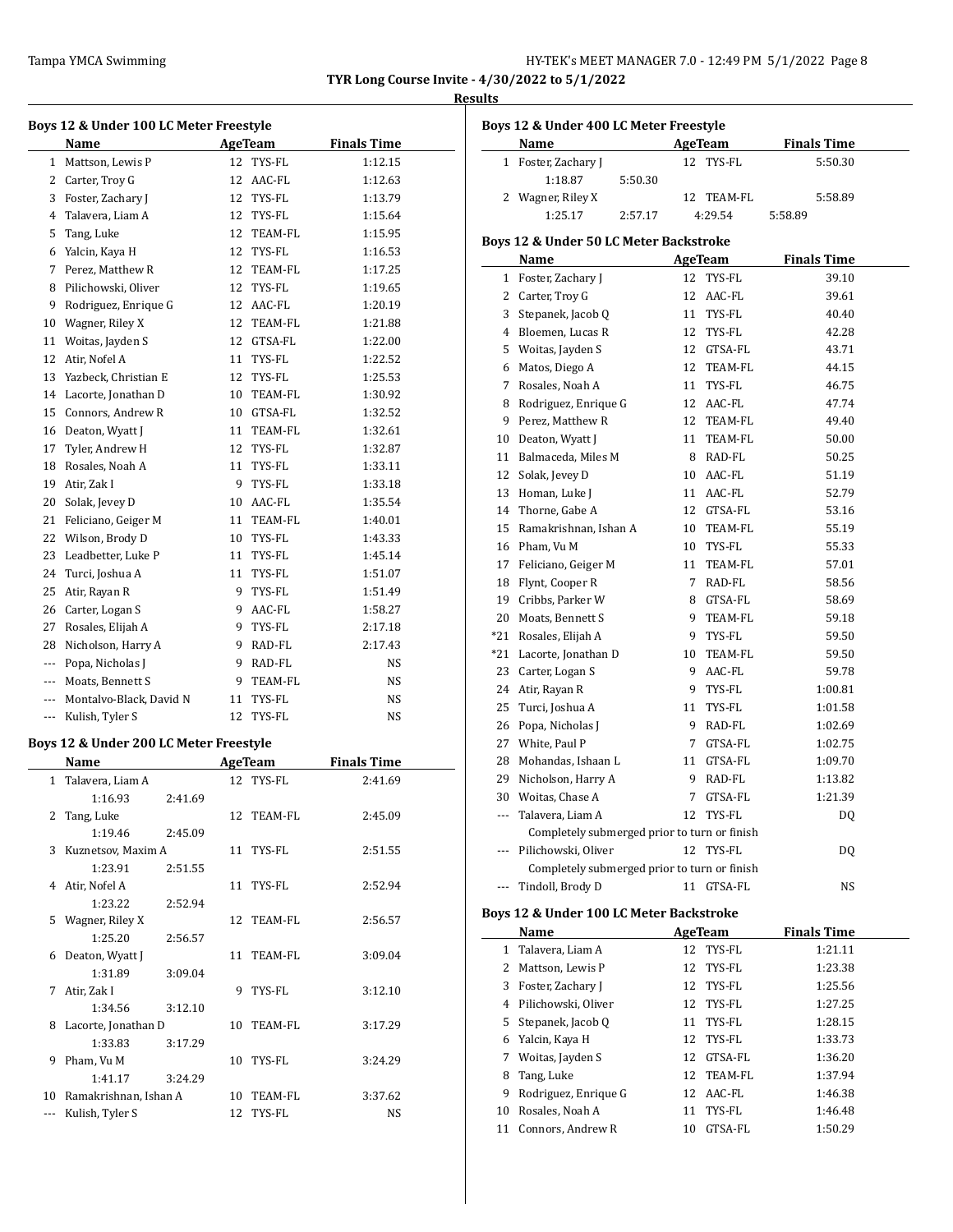#### **Results**

|                                                                                                | Boys 12 & Under 100 LC Meter Freestyle<br>Name |    | AgeTeam        | <b>Finals Time</b> |
|------------------------------------------------------------------------------------------------|------------------------------------------------|----|----------------|--------------------|
|                                                                                                | 1 Mattson, Lewis P                             | 12 | TYS-FL         | 1:12.15            |
|                                                                                                | 2 Carter, Troy G                               |    | 12 AAC-FL      | 1:12.63            |
|                                                                                                | 3 Foster, Zachary J                            |    | 12 TYS-FL      | 1:13.79            |
| 4                                                                                              | Talavera, Liam A                               |    | 12 TYS-FL      | 1:15.64            |
| 5                                                                                              | Tang, Luke                                     |    | 12 TEAM-FL     | 1:15.95            |
| 6                                                                                              | Yalcin, Kaya H                                 |    | 12 TYS-FL      | 1:16.53            |
|                                                                                                | 7 Perez, Matthew R                             |    | 12 TEAM-FL     | 1:17.25            |
| 8                                                                                              | Pilichowski, Oliver                            |    | 12 TYS-FL      | 1:19.65            |
| 9                                                                                              | Rodriguez, Enrique G                           |    | 12 AAC-FL      | 1:20.19            |
| 10                                                                                             | Wagner, Riley X                                |    | 12 TEAM-FL     | 1:21.88            |
| 11                                                                                             | Woitas, Jayden S                               |    | 12 GTSA-FL     | 1:22.00            |
| 12                                                                                             | Atir, Nofel A                                  |    | 11 TYS-FL      | 1:22.52            |
| 13                                                                                             | Yazbeck, Christian E                           |    | 12 TYS-FL      | 1:25.53            |
|                                                                                                | 14 Lacorte, Jonathan D                         |    | 10 TEAM-FL     | 1:30.92            |
|                                                                                                | 15 Connors, Andrew R                           |    | 10 GTSA-FL     |                    |
|                                                                                                | 16 Deaton, Wyatt J                             |    | 11 TEAM-FL     | 1:32.52            |
|                                                                                                |                                                |    |                | 1:32.61            |
| 17                                                                                             | Tyler, Andrew H                                |    | 12 TYS-FL      | 1:32.87            |
|                                                                                                | 18 Rosales, Noah A                             |    | 11 TYS-FL      | 1:33.11            |
| 19                                                                                             | Atir, Zak I                                    |    | 9 TYS-FL       | 1:33.18            |
| 20                                                                                             | Solak, Jevey D                                 |    | 10 AAC-FL      | 1:35.54            |
| 21                                                                                             | Feliciano, Geiger M                            |    | 11 TEAM-FL     | 1:40.01            |
| 22                                                                                             | Wilson, Brody D                                |    | 10 TYS-FL      | 1:43.33            |
| 23                                                                                             | Leadbetter, Luke P                             |    | 11 TYS-FL      | 1:45.14            |
| 24                                                                                             | Turci, Joshua A                                |    | 11 TYS-FL      | 1:51.07            |
| 25                                                                                             | Atir, Rayan R                                  |    | 9 TYS-FL       | 1:51.49            |
|                                                                                                | 26 Carter, Logan S                             |    | 9 AAC-FL       | 1:58.27            |
|                                                                                                | 27 Rosales, Elijah A                           |    | 9 TYS-FL       | 2:17.18            |
| 28                                                                                             | Nicholson, Harry A                             |    | 9 RAD-FL       | 2:17.43            |
|                                                                                                | --- Popa, Nicholas J                           |    | 9 RAD-FL       | NS                 |
|                                                                                                | --- Moats, Bennett S                           | 9  | TEAM-FL        | NS                 |
| ---                                                                                            | Montalvo-Black, David N                        | 11 | TYS-FL         | NS                 |
| ---                                                                                            | Kulish, Tyler S                                | 12 | TYS-FL         | NS                 |
|                                                                                                | Boys 12 & Under 200 LC Meter Freestyle         |    |                |                    |
|                                                                                                | Name                                           |    | <b>AgeTeam</b> | <b>Finals Time</b> |
| $\mathbf{1}$                                                                                   | Talavera, Liam A                               |    | 12 TYS-FL      | 2:41.69            |
|                                                                                                | 1:16.93<br>2:41.69                             |    |                |                    |
|                                                                                                | 2 Tang, Luke                                   |    | 12 TEAM-FL     | 2:45.09            |
|                                                                                                | 1:19.46<br>2:45.09                             |    |                |                    |
| 3                                                                                              | Kuznetsov, Maxim A                             |    | 11 TYS-FL      | 2:51.55            |
|                                                                                                | 1:23.91<br>2:51.55                             |    |                |                    |
|                                                                                                | 4 Atir, Nofel A                                |    | 11 TYS-FL      | 2:52.94            |
|                                                                                                | 1:23.22<br>2:52.94                             |    |                |                    |
|                                                                                                | 5 Wagner, Riley X                              |    | 12 TEAM-FL     | 2:56.57            |
|                                                                                                | 1:25.20<br>2:56.57                             |    |                |                    |
| 6                                                                                              | Deaton, Wyatt J                                | 11 | TEAM-FL        | 3:09.04            |
|                                                                                                | 1:31.89<br>3:09.04                             |    |                |                    |
|                                                                                                | 7 Atir, Zak I                                  | 9  | TYS-FL         | 3:12.10            |
|                                                                                                | 1:34.56<br>3:12.10                             |    |                |                    |
| 8                                                                                              | Lacorte, Jonathan D                            | 10 | TEAM-FL        | 3:17.29            |
|                                                                                                | 1:33.83<br>3:17.29                             |    |                |                    |
| 9                                                                                              | Pham, Vu M                                     | 10 | TYS-FL         | 3:24.29            |
|                                                                                                | 1:41.17<br>3:24.29                             |    |                |                    |
|                                                                                                | 10 Ramakrishnan, Ishan A                       |    | 10 TEAM-FL     | 3:37.62            |
| $\frac{1}{2} \left( \frac{1}{2} \right) \left( \frac{1}{2} \right) \left( \frac{1}{2} \right)$ | Kulish, Tyler S                                |    | 12 TYS-FL      | NS                 |

|              | Boys 12 & Under 400 LC Meter Freestyle<br>Name    | <b>AgeTeam</b> | <b>Finals Time</b> |
|--------------|---------------------------------------------------|----------------|--------------------|
| 1            | Foster, Zachary J                                 | 12<br>TYS-FL   | 5:50.30            |
|              | 1:18.87<br>5:50.30                                |                |                    |
| 2            | Wagner, Riley X                                   | 12<br>TEAM-FL  | 5:58.89            |
|              | 1:25.17<br>2:57.17                                | 4:29.54        | 5:58.89            |
|              |                                                   |                |                    |
|              | <b>Boys 12 &amp; Under 50 LC Meter Backstroke</b> |                |                    |
|              | Name                                              | <b>AgeTeam</b> | <b>Finals Time</b> |
| $\mathbf 1$  | Foster, Zachary J                                 | 12<br>TYS-FL   | 39.10              |
|              | 2 Carter, Troy G                                  | 12<br>AAC-FL   | 39.61              |
|              | 3 Stepanek, Jacob Q                               | TYS-FL<br>11   | 40.40              |
|              | 4 Bloemen, Lucas R                                | 12<br>TYS-FL   | 42.28              |
|              | 5 Woitas, Jayden S                                | 12 GTSA-FL     | 43.71              |
|              | 6 Matos, Diego A                                  | 12 TEAM-FL     | 44.15              |
|              | 7 Rosales, Noah A                                 | 11<br>TYS-FL   | 46.75              |
| 8            | Rodriguez, Enrique G                              | 12 AAC-FL      | 47.74              |
| 9            | Perez, Matthew R                                  | 12 TEAM-FL     | 49.40              |
|              | 10 Deaton, Wyatt J                                | 11 TEAM-FL     | 50.00              |
|              | 11 Balmaceda, Miles M                             | 8 RAD-FL       | 50.25              |
| 12           | Solak, Jevey D                                    | 10 AAC-FL      | 51.19              |
|              | 13 Homan, Luke J                                  | 11 AAC-FL      | 52.79              |
|              | 14 Thorne, Gabe A                                 | 12 GTSA-FL     | 53.16              |
|              | 15 Ramakrishnan, Ishan A                          | 10 TEAM-FL     | 55.19              |
|              | 16 Pham, Vu M                                     | 10 TYS-FL      | 55.33              |
|              | 17 Feliciano, Geiger M                            | 11 TEAM-FL     | 57.01              |
|              | 18 Flynt, Cooper R                                | 7 RAD-FL       | 58.56              |
|              | 19 Cribbs, Parker W                               | 8 GTSA-FL      | 58.69              |
|              | 20 Moats, Bennett S                               | 9 TEAM-FL      | 59.18              |
|              | *21 Rosales, Elijah A                             | 9<br>TYS-FL    | 59.50              |
|              | *21 Lacorte, Jonathan D                           | 10<br>TEAM-FL  | 59.50              |
| 23           | Carter, Logan S                                   | AAC-FL<br>9    | 59.78              |
| 24           | Atir, Rayan R                                     | TYS-FL<br>9    | 1:00.81            |
| 25           | Turci, Joshua A                                   | 11<br>TYS-FL   | 1:01.58            |
| 26           | Popa, Nicholas J                                  | RAD-FL<br>9    | 1:02.69            |
|              | 27 White, Paul P                                  | GTSA-FL<br>7   | 1:02.75            |
|              | 28 Mohandas, Ishaan L                             | 11<br>GTSA-FL  | 1:09.70            |
| 29           | Nicholson, Harry A                                | 9<br>RAD-FL    | 1:13.82            |
| 30           | Woitas, Chase A                                   | GTSA-FL<br>7   | 1:21.39            |
|              | Talavera, Liam A                                  | 12 TYS-FL      | DQ                 |
|              | Completely submerged prior to turn or finish      |                |                    |
|              | Pilichowski, Oliver                               | 12<br>TYS-FL   | DQ                 |
|              | Completely submerged prior to turn or finish      |                |                    |
|              | --- Tindoll, Brody D                              | 11 GTSA-FL     | NS                 |
|              | Boys 12 & Under 100 LC Meter Backstroke           |                |                    |
|              | Name                                              | <b>AgeTeam</b> | <b>Finals Time</b> |
| $\mathbf{1}$ | Talavera, Liam A                                  | 12<br>TYS-FL   | 1:21.11            |
|              | 2 Mattson, Lewis P                                | 12<br>TYS-FL   | 1:23.38            |
|              | 3 Foster, Zachary J                               | TYS-FL<br>12   | 1:25.56            |
|              | 4 Pilichowski, Oliver                             | 12<br>TYS-FL   | 1:27.25            |
| 5            | Stepanek, Jacob Q                                 | TYS-FL<br>11   | 1:28.15            |
|              | 6 Yalcin, Kaya H                                  | TYS-FL<br>12   | 1:33.73            |
| 7            | Woitas, Jayden S                                  | 12<br>GTSA-FL  | 1:36.20            |
| 8            | Tang, Luke                                        | 12 TEAM-FL     | 1:37.94            |

9 Rodriguez, Enrique G 12 AAC-FL 1:46.38 10 Rosales, Noah A 11 TYS-FL 1:46.48 11 Connors, Andrew R 10 GTSA-FL 1:50.29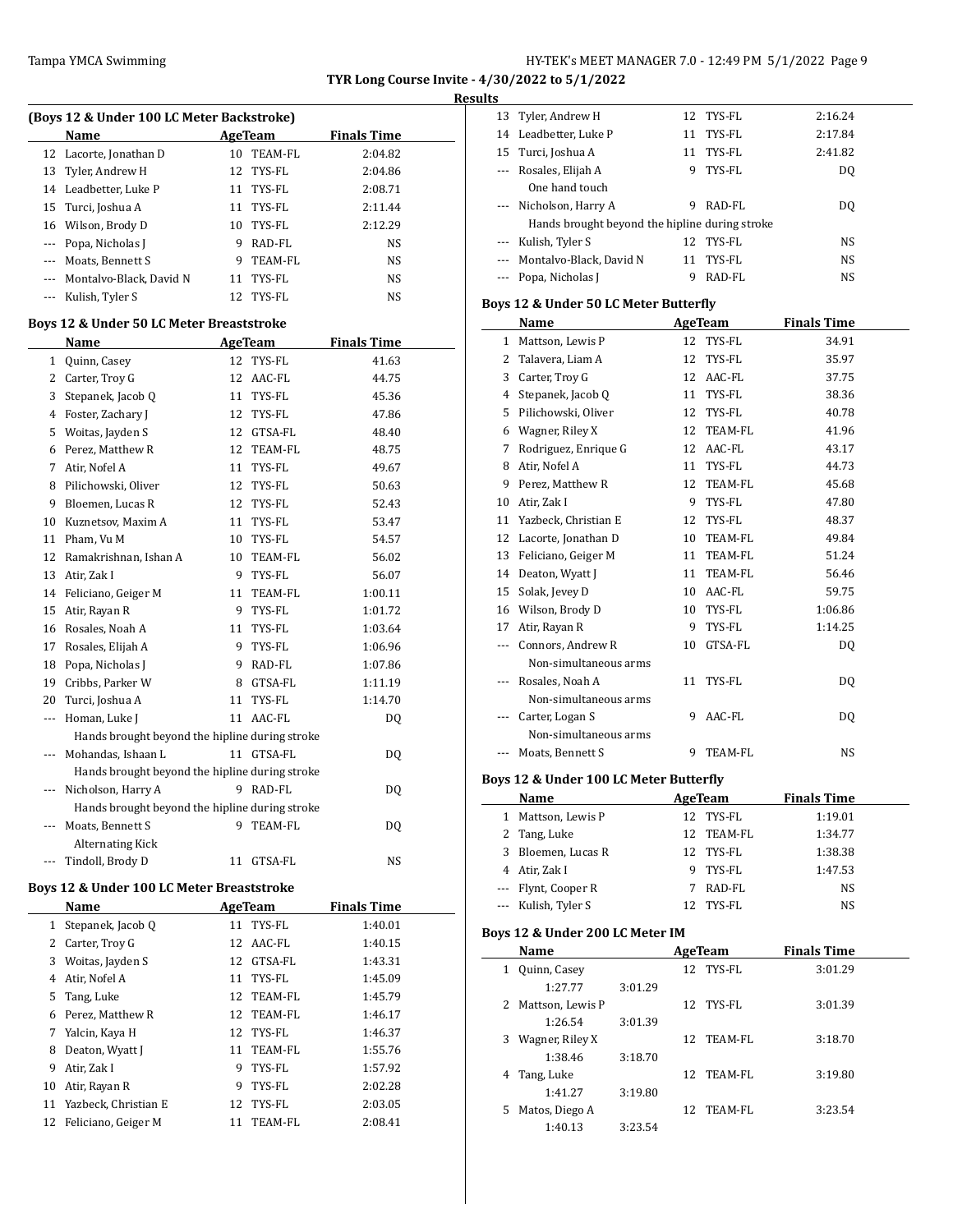# **Results**

 $\frac{1}{2}$ 

| (Boys 12 & Under 100 LC Meter Backstroke) |   |            |                    |  |  |  |
|-------------------------------------------|---|------------|--------------------|--|--|--|
| <b>Name</b>                               |   | AgeTeam    | <b>Finals Time</b> |  |  |  |
| 12 Lacorte, Jonathan D                    |   | 10 TEAM-FL | 2:04.82            |  |  |  |
| 13 Tyler, Andrew H                        |   | 12 TYS-FL  | 2:04.86            |  |  |  |
| 14 Leadbetter, Luke P                     |   | 11 TYS-FL  | 2:08.71            |  |  |  |
| 15 Turci, Joshua A                        |   | 11 TYS-FL  | 2:11.44            |  |  |  |
| 16 Wilson, Brody D                        |   | 10 TYS-FL  | 2:12.29            |  |  |  |
| --- Popa, Nicholas J                      | 9 | RAD-FL     | NS                 |  |  |  |
| --- Moats, Bennett S                      | 9 | TEAM-FL    | NS.                |  |  |  |
| --- Montalvo-Black, David N               |   | 11 TYS-FL  | <b>NS</b>          |  |  |  |
| Kulish, Tyler S                           |   | 12 TYS-FL  | <b>NS</b>          |  |  |  |

#### **Boys 12 & Under 50 LC Meter Breaststroke**

|     | Name                                           |    | <b>AgeTeam</b> | <b>Finals Time</b> |
|-----|------------------------------------------------|----|----------------|--------------------|
| 1   | Quinn, Casey                                   | 12 | TYS-FL         | 41.63              |
| 2   | Carter, Troy G                                 | 12 | AAC-FL         | 44.75              |
| 3   | Stepanek, Jacob Q                              | 11 | TYS-FL         | 45.36              |
| 4   | Foster, Zachary J                              | 12 | TYS-FL         | 47.86              |
| 5   | Woitas, Jayden S                               | 12 | GTSA-FL        | 48.40              |
| 6   | Perez, Matthew R                               | 12 | <b>TEAM-FL</b> | 48.75              |
| 7   | Atir, Nofel A                                  | 11 | TYS-FL         | 49.67              |
| 8   | Pilichowski, Oliver                            | 12 | TYS-FL         | 50.63              |
| 9   | Bloemen, Lucas R                               | 12 | TYS-FL         | 52.43              |
| 10  | Kuznetsov, Maxim A                             | 11 | TYS-FL         | 53.47              |
| 11  | Pham, Vu M                                     | 10 | TYS-FL         | 54.57              |
| 12  | Ramakrishnan, Ishan A                          | 10 | TEAM-FL        | 56.02              |
| 13  | Atir, Zak I                                    | 9  | TYS-FL         | 56.07              |
| 14  | Feliciano, Geiger M                            | 11 | TEAM-FL        | 1:00.11            |
| 15  | Atir, Rayan R                                  | 9  | TYS-FL         | 1:01.72            |
| 16  | Rosales, Noah A                                | 11 | TYS-FL         | 1:03.64            |
| 17  | Rosales, Elijah A                              | 9  | TYS-FL         | 1:06.96            |
| 18  | Popa, Nicholas J                               | 9  | RAD-FL         | 1:07.86            |
| 19  | Cribbs, Parker W                               | 8  | GTSA-FL        | 1:11.19            |
| 20  | Turci, Joshua A                                | 11 | TYS-FL         | 1:14.70            |
| --- | Homan, Luke J                                  | 11 | AAC-FL         | D <sub>0</sub>     |
|     | Hands brought beyond the hipline during stroke |    |                |                    |
|     | Mohandas, Ishaan L                             |    | 11 GTSA-FL     | DQ                 |
|     | Hands brought beyond the hipline during stroke |    |                |                    |
|     | Nicholson, Harry A                             | 9  | RAD-FL         | DQ                 |
|     | Hands brought beyond the hipline during stroke |    |                |                    |
|     | Moats, Bennett S                               | 9  | <b>TEAM-FL</b> | DQ                 |
|     | <b>Alternating Kick</b>                        |    |                |                    |
|     | Tindoll, Brody D                               | 11 | GTSA-FL        | <b>NS</b>          |

# **Boys 12 & Under 100 LC Meter Breaststroke**

|    | Name                 | AgeTeam |            | <b>Finals Time</b> |
|----|----------------------|---------|------------|--------------------|
| 1  | Stepanek, Jacob O    |         | 11 TYS-FL  | 1:40.01            |
| 2  | Carter, Troy G       |         | 12 AAC-FL  | 1:40.15            |
| 3  | Woitas, Jayden S     | 12      | GTSA-FL    | 1:43.31            |
| 4  | Atir, Nofel A        | 11      | TYS-FL     | 1:45.09            |
| 5  | Tang, Luke           |         | 12 TEAM-FL | 1:45.79            |
| 6  | Perez, Matthew R     |         | 12 TEAM-FL | 1:46.17            |
| 7  | Yalcin, Kaya H       |         | 12 TYS-FL  | 1:46.37            |
| 8  | Deaton, Wyatt J      | 11      | TEAM-FL    | 1:55.76            |
| 9  | Atir, Zak I          | 9       | TYS-FL     | 1:57.92            |
| 10 | Atir, Rayan R        | 9       | TYS-FL     | 2:02.28            |
| 11 | Yazbeck, Christian E |         | 12 TYS-FL  | 2:03.05            |
| 12 | Feliciano, Geiger M  | 11      | TEAM-FL    | 2:08.41            |

| . .      |                                                |    |           |           |  |
|----------|------------------------------------------------|----|-----------|-----------|--|
|          | 13 Tyler, Andrew H                             |    | 12 TYS-FL | 2:16.24   |  |
|          | 14 Leadbetter, Luke P                          | 11 | TYS-FL    | 2:17.84   |  |
|          | 15 Turci, Joshua A                             | 11 | TYS-FL    | 2:41.82   |  |
|          | Rosales, Elijah A                              | 9. | TYS-FL    | DO.       |  |
|          | One hand touch                                 |    |           |           |  |
|          | --- Nicholson, Harry A                         | 9  | RAD-FL    | DO.       |  |
|          | Hands brought beyond the hipline during stroke |    |           |           |  |
| $\cdots$ | Kulish, Tyler S                                | 12 | TYS-FL    | NS.       |  |
|          | Montalvo-Black, David N                        | 11 | TYS-FL    | NS.       |  |
|          | Popa, Nicholas J                               | 9  | RAD-FL    | <b>NS</b> |  |

# **Boys 12 & Under 50 LC Meter Butterfly**

|              | Name                  | <b>AgeTeam</b> |                | <b>Finals Time</b> |
|--------------|-----------------------|----------------|----------------|--------------------|
| $\mathbf{1}$ | Mattson, Lewis P      | 12             | TYS-FL         | 34.91              |
| 2            | Talavera, Liam A      | 12             | TYS-FL         | 35.97              |
| 3            | Carter, Troy G        | 12             | AAC-FL         | 37.75              |
| 4            | Stepanek, Jacob O     | 11             | TYS-FL         | 38.36              |
| 5            | Pilichowski, Oliver   | 12             | TYS-FL         | 40.78              |
| 6            | Wagner, Riley X       | 12             | TEAM-FL        | 41.96              |
| 7            | Rodriguez, Enrique G  | 12             | AAC-FL         | 43.17              |
| 8            | Atir, Nofel A         | 11             | TYS-FL         | 44.73              |
| 9            | Perez, Matthew R      | 12             | TEAM-FL        | 45.68              |
| 10           | Atir, Zak I           | 9              | TYS-FL         | 47.80              |
| 11           | Yazbeck, Christian E  | 12             | TYS-FL         | 48.37              |
| 12           | Lacorte, Jonathan D   | 10             | TEAM-FL        | 49.84              |
| 13           | Feliciano, Geiger M   | 11             | TEAM-FL        | 51.24              |
| 14           | Deaton, Wyatt J       | 11             | TEAM-FL        | 56.46              |
| 15           | Solak, Jevey D        | 10             | AAC-FL         | 59.75              |
| 16           | Wilson, Brody D       | 10             | TYS-FL         | 1:06.86            |
| 17           | Atir, Rayan R         | 9              | TYS-FL         | 1:14.25            |
| $- - -$      | Connors, Andrew R     | 10             | GTSA-FL        | DQ                 |
|              | Non-simultaneous arms |                |                |                    |
|              | Rosales, Noah A       | 11             | TYS-FL         | DQ                 |
|              | Non-simultaneous arms |                |                |                    |
|              | Carter, Logan S       | 9              | AAC-FL         | D <sub>0</sub>     |
|              | Non-simultaneous arms |                |                |                    |
|              | Moats, Bennett S      | 9              | <b>TEAM-FL</b> | <b>NS</b>          |

# **Boys 12 & Under 100 LC Meter Butterfly**

|   | Name                | AgeTeam |            | <b>Finals Time</b> |  |
|---|---------------------|---------|------------|--------------------|--|
| 1 | Mattson, Lewis P    |         | 12 TYS-FL  | 1:19.01            |  |
|   | 2 Tang, Luke        |         | 12 TEAM-FL | 1:34.77            |  |
|   | 3 Bloemen, Lucas R  |         | 12 TYS-FL  | 1:38.38            |  |
|   | 4 Atir, Zak I       |         | 9 TYS-FL   | 1:47.53            |  |
|   | --- Flynt, Cooper R | 7       | RAD-FL     | NS                 |  |
|   | --- Kulish, Tyler S | 12      | TYS-FL     | NS                 |  |

### **Boys 12 & Under 200 LC Meter IM**

| Name                 |         | AgeTeam |            | <b>Finals Time</b> |
|----------------------|---------|---------|------------|--------------------|
| Quinn, Casey<br>1    |         |         | 12 TYS-FL  | 3:01.29            |
| 1:27.77              | 3:01.29 |         |            |                    |
| 2 Mattson, Lewis P   |         |         | 12 TYS-FL  | 3:01.39            |
| 1:26.54              | 3:01.39 |         |            |                    |
| Wagner, Riley X<br>3 |         |         | 12 TEAM-FL | 3:18.70            |
| 1:38.46              | 3:18.70 |         |            |                    |
| Tang, Luke<br>4      |         |         | 12 TEAM-FL | 3:19.80            |
| 1:41.27              | 3:19.80 |         |            |                    |
| Matos, Diego A<br>5. |         |         | 12 TEAM-FL | 3:23.54            |
| 1:40.13              | 3:23.54 |         |            |                    |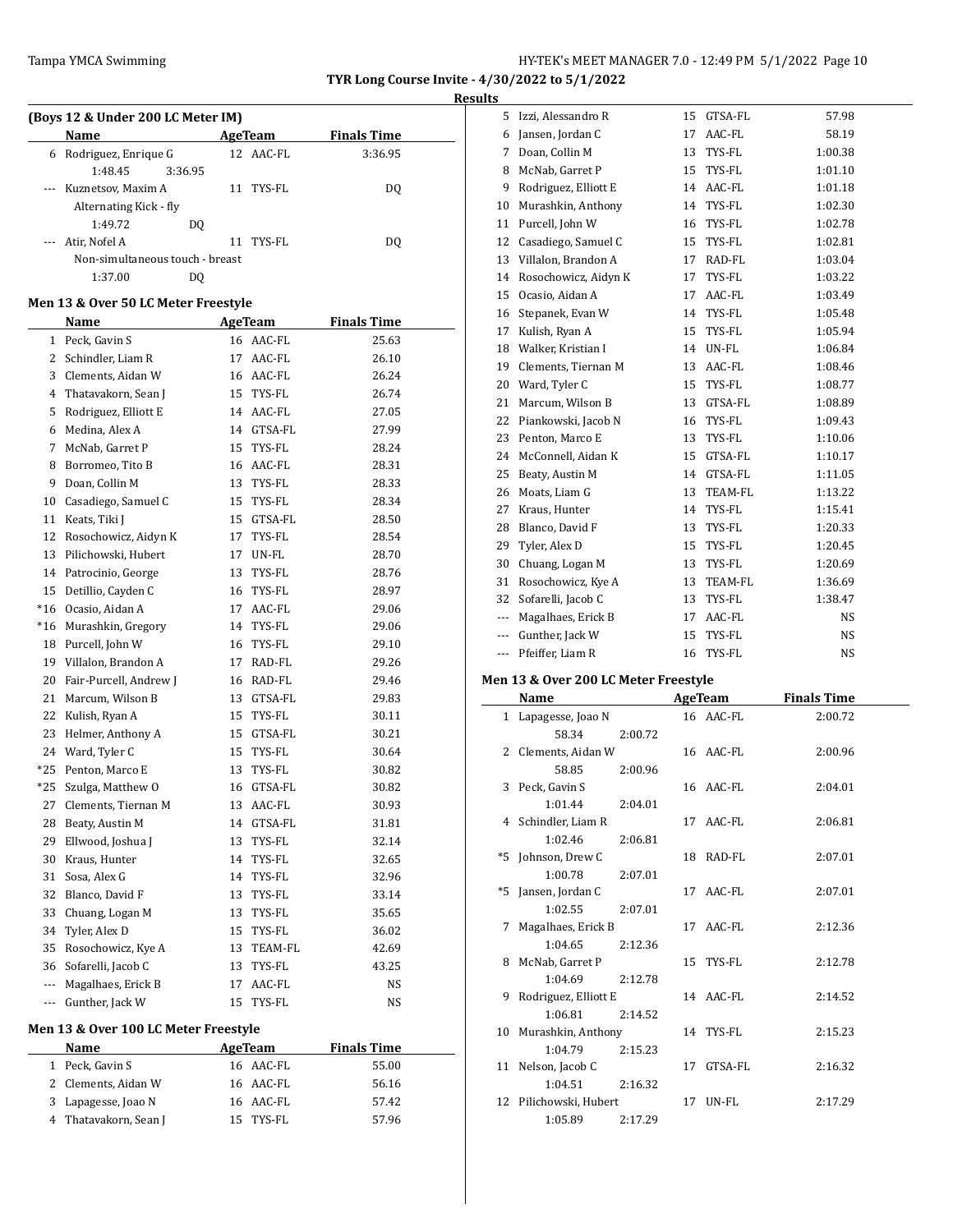# Tampa YMCA Swimming Tampa YMCA Swimming Fig. 2012 12:49 PM 5/1/2022 Page 10

**TYR Long Course Invite - 4/30/2022 to 5/1/2022 Results**

#### **(Boys 12 & Under 200 LC Meter IM)**

| $100,312$ & onder 200 Bo Meter 191 |         |    |           |                    |  |  |  |
|------------------------------------|---------|----|-----------|--------------------|--|--|--|
| Name                               |         |    | AgeTeam   | <b>Finals Time</b> |  |  |  |
| 6 Rodriguez, Enrique G             |         |    | 12 AAC-FL | 3:36.95            |  |  |  |
| 1:48.45                            | 3:36.95 |    |           |                    |  |  |  |
| --- Kuznetsov, Maxim A             |         |    | 11 TYS-FL | DO.                |  |  |  |
| Alternating Kick - fly             |         |    |           |                    |  |  |  |
| 1:49.72                            | DO.     |    |           |                    |  |  |  |
| Atir, Nofel A                      |         | 11 | TYS-FL    | DO.                |  |  |  |
| Non-simultaneous touch - breast    |         |    |           |                    |  |  |  |
| 1:37.00                            | DΟ      |    |           |                    |  |  |  |

### **Men 13 & Over 50 LC Meter Freestyle**

| Name                   |    |         | <b>Finals Time</b>                                                                                                                                                     |  |
|------------------------|----|---------|------------------------------------------------------------------------------------------------------------------------------------------------------------------------|--|
| Peck, Gavin S          |    |         | 25.63                                                                                                                                                                  |  |
| Schindler, Liam R      |    | AAC-FL  | 26.10                                                                                                                                                                  |  |
| Clements, Aidan W      |    | AAC-FL  | 26.24                                                                                                                                                                  |  |
| Thatavakorn, Sean J    |    | TYS-FL  | 26.74                                                                                                                                                                  |  |
| Rodriguez, Elliott E   |    | AAC-FL  | 27.05                                                                                                                                                                  |  |
| Medina, Alex A         |    | GTSA-FL | 27.99                                                                                                                                                                  |  |
| McNab, Garret P        | 15 | TYS-FL  | 28.24                                                                                                                                                                  |  |
| Borromeo, Tito B       |    | AAC-FL  | 28.31                                                                                                                                                                  |  |
| Doan, Collin M         | 13 | TYS-FL  | 28.33                                                                                                                                                                  |  |
| Casadiego, Samuel C    | 15 | TYS-FL  | 28.34                                                                                                                                                                  |  |
| Keats, Tiki J          |    | GTSA-FL | 28.50                                                                                                                                                                  |  |
| Rosochowicz, Aidyn K   | 17 | TYS-FL  | 28.54                                                                                                                                                                  |  |
| Pilichowski, Hubert    |    | UN-FL   | 28.70                                                                                                                                                                  |  |
| Patrocinio, George     | 13 | TYS-FL  | 28.76                                                                                                                                                                  |  |
| Detillio, Cayden C     | 16 | TYS-FL  | 28.97                                                                                                                                                                  |  |
| Ocasio, Aidan A        |    | AAC-FL  | 29.06                                                                                                                                                                  |  |
| Murashkin, Gregory     |    | TYS-FL  | 29.06                                                                                                                                                                  |  |
| Purcell, John W        |    | TYS-FL  | 29.10                                                                                                                                                                  |  |
| 19 Villalon, Brandon A |    | RAD-FL  | 29.26                                                                                                                                                                  |  |
| Fair-Purcell, Andrew J |    |         | 29.46                                                                                                                                                                  |  |
| Marcum, Wilson B       |    | GTSA-FL | 29.83                                                                                                                                                                  |  |
| Kulish, Ryan A         | 15 | TYS-FL  | 30.11                                                                                                                                                                  |  |
| Helmer, Anthony A      |    | GTSA-FL | 30.21                                                                                                                                                                  |  |
| Ward, Tyler C          | 15 | TYS-FL  | 30.64                                                                                                                                                                  |  |
| Penton, Marco E        | 13 | TYS-FL  | 30.82                                                                                                                                                                  |  |
| Szulga, Matthew O      |    | GTSA-FL | 30.82                                                                                                                                                                  |  |
| Clements, Tiernan M    |    | AAC-FL  | 30.93                                                                                                                                                                  |  |
| Beaty, Austin M        |    | GTSA-FL | 31.81                                                                                                                                                                  |  |
| Ellwood, Joshua J      |    | TYS-FL  | 32.14                                                                                                                                                                  |  |
| Kraus, Hunter          |    | TYS-FL  | 32.65                                                                                                                                                                  |  |
| Sosa, Alex G           |    | TYS-FL  | 32.96                                                                                                                                                                  |  |
| Blanco, David F        | 13 | TYS-FL  | 33.14                                                                                                                                                                  |  |
| Chuang, Logan M        | 13 | TYS-FL  | 35.65                                                                                                                                                                  |  |
| Tyler, Alex D          | 15 | TYS-FL  | 36.02                                                                                                                                                                  |  |
| Rosochowicz, Kye A     | 13 | TEAM-FL | 42.69                                                                                                                                                                  |  |
| Sofarelli, Jacob C     | 13 | TYS-FL  | 43.25                                                                                                                                                                  |  |
| Magalhaes, Erick B     |    | AAC-FL  | NS                                                                                                                                                                     |  |
| Gunther, Jack W        | 15 | TYS-FL  | NS                                                                                                                                                                     |  |
|                        |    |         | <b>AgeTeam</b><br>16 AAC-FL<br>17<br>16<br>15<br>14<br>14<br>16<br>15<br>17<br>17<br>14<br>16<br>17<br>16 RAD-FL<br>13<br>15<br>16<br>13<br>14<br>13<br>14<br>14<br>17 |  |

### **Men 13 & Over 100 LC Meter Freestyle**

| Name                  | AgeTeam   | <b>Finals Time</b> |
|-----------------------|-----------|--------------------|
| 1 Peck, Gavin S       | 16 AAC-FL | 55.00              |
| 2 Clements, Aidan W   | 16 AAC-FL | 56.16              |
| 3 Lapagesse, Joao N   | 16 AAC-FL | 57.42              |
| 4 Thatavakorn, Sean J | 15 TYS-FL | 57.96              |

| 5   | Izzi, Alessandro R   | 15 | GTSA-FL | 57.98   |
|-----|----------------------|----|---------|---------|
| 6   | Jansen, Jordan C     | 17 | AAC-FL  | 58.19   |
| 7   | Doan, Collin M       | 13 | TYS-FL  | 1:00.38 |
| 8   | McNab, Garret P      | 15 | TYS-FL  | 1:01.10 |
| 9   | Rodriguez, Elliott E | 14 | AAC-FL  | 1:01.18 |
| 10  | Murashkin, Anthony   | 14 | TYS-FL  | 1:02.30 |
| 11  | Purcell, John W      | 16 | TYS-FL  | 1:02.78 |
| 12  | Casadiego, Samuel C  | 15 | TYS-FL  | 1:02.81 |
| 13  | Villalon, Brandon A  | 17 | RAD-FL  | 1:03.04 |
| 14  | Rosochowicz, Aidyn K | 17 | TYS-FL  | 1:03.22 |
| 15  | Ocasio, Aidan A      | 17 | AAC-FL  | 1:03.49 |
| 16  | Stepanek, Evan W     | 14 | TYS-FL  | 1:05.48 |
| 17  | Kulish, Ryan A       | 15 | TYS-FL  | 1:05.94 |
| 18  | Walker, Kristian I   | 14 | UN-FL   | 1:06.84 |
| 19  | Clements, Tiernan M  | 13 | AAC-FL  | 1:08.46 |
| 20  | Ward, Tyler C        | 15 | TYS-FL  | 1:08.77 |
| 21  | Marcum, Wilson B     | 13 | GTSA-FL | 1:08.89 |
| 22  | Piankowski, Jacob N  | 16 | TYS-FL  | 1:09.43 |
| 23  | Penton, Marco E      | 13 | TYS-FL  | 1:10.06 |
| 24  | McConnell, Aidan K   | 15 | GTSA-FL | 1:10.17 |
| 25  | Beaty, Austin M      | 14 | GTSA-FL | 1:11.05 |
| 26  | Moats, Liam G        | 13 | TEAM-FL | 1:13.22 |
| 27  | Kraus, Hunter        | 14 | TYS-FL  | 1:15.41 |
| 28  | Blanco, David F      | 13 | TYS-FL  | 1:20.33 |
| 29  | Tyler, Alex D        | 15 | TYS-FL  | 1:20.45 |
| 30  | Chuang, Logan M      | 13 | TYS-FL  | 1:20.69 |
| 31  | Rosochowicz, Kye A   | 13 | TEAM-FL | 1:36.69 |
| 32  | Sofarelli, Jacob C   | 13 | TYS-FL  | 1:38.47 |
| --- | Magalhaes, Erick B   | 17 | AAC-FL  | NS      |
| --- | Gunther, Jack W      | 15 | TYS-FL  | NS      |
| --- | Pfeiffer, Liam R     | 16 | TYS-FL  | NS      |
|     |                      |    |         |         |

# **Men 13 & Over 200 LC Meter Freestyle**

|   | Name                   |         | AgeTeam    | <b>Finals Time</b> |
|---|------------------------|---------|------------|--------------------|
|   | 1 Lapagesse, Joao N    |         | 16 AAC-FL  | 2:00.72            |
|   | 58.34                  | 2:00.72 |            |                    |
|   | 2 Clements, Aidan W    |         | 16 AAC-FL  | 2:00.96            |
|   | 58.85                  | 2:00.96 |            |                    |
|   | 3 Peck, Gavin S        |         | 16 AAC-FL  | 2:04.01            |
|   | 1:01.44                | 2:04.01 |            |                    |
|   | 4 Schindler, Liam R    |         | 17 AAC-FL  | 2:06.81            |
|   | 1:02.46                | 2:06.81 |            |                    |
|   | *5 Johnson, Drew C     |         | 18 RAD-FL  | 2:07.01            |
|   | 1:00.78                | 2:07.01 |            |                    |
|   | *5 Jansen, Jordan C    |         | 17 AAC-FL  | 2:07.01            |
|   | 1:02.55                | 2:07.01 |            |                    |
| 7 | Magalhaes, Erick B     |         | 17 AAC-FL  | 2:12.36            |
|   | 1:04.65                | 2:12.36 |            |                    |
|   | 8 McNab, Garret P      |         | 15 TYS-FL  | 2:12.78            |
|   | 1:04.69                | 2:12.78 |            |                    |
| 9 | Rodriguez, Elliott E   |         | 14 AAC-FL  | 2:14.52            |
|   | 1:06.81                | 2:14.52 |            |                    |
|   | 10 Murashkin, Anthony  |         | 14 TYS-FL  | 2:15.23            |
|   | 1:04.79                | 2:15.23 |            |                    |
|   | 11 Nelson, Jacob C     |         | 17 GTSA-FL | 2:16.32            |
|   | 1:04.51                | 2:16.32 |            |                    |
|   | 12 Pilichowski, Hubert |         | 17 UN-FL   | 2:17.29            |
|   | 1:05.89                | 2:17.29 |            |                    |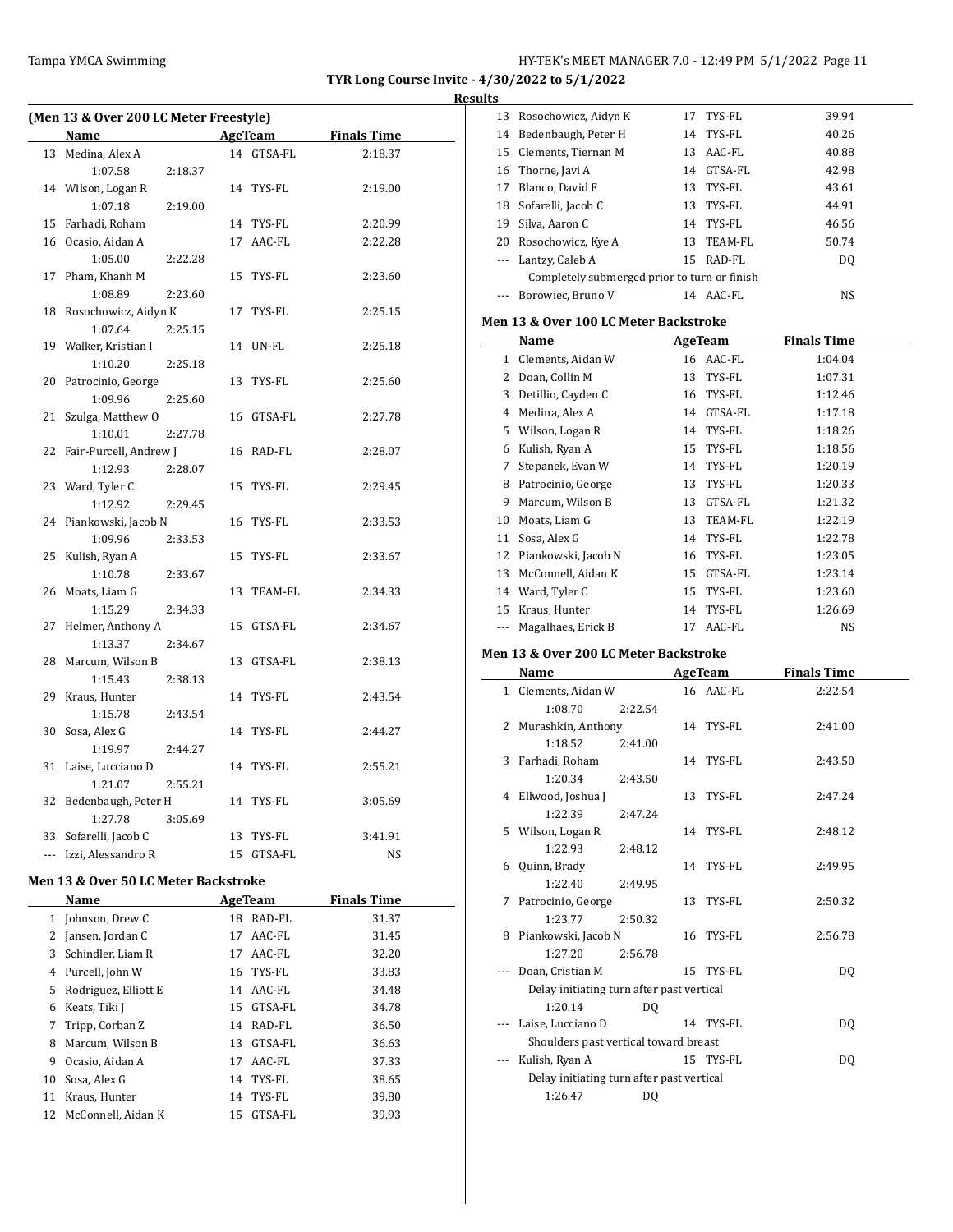### **Results**

 $\frac{1}{1-\frac{1}{2}}\left( \frac{1}{2}\right) ^{2}+\frac{1}{2}\left( \frac{1}{2}\right) ^{2}+\frac{1}{2}\left( \frac{1}{2}\right) ^{2}+\frac{1}{2}\left( \frac{1}{2}\right) ^{2}+\frac{1}{2}\left( \frac{1}{2}\right) ^{2}+\frac{1}{2}\left( \frac{1}{2}\right) ^{2}+\frac{1}{2}\left( \frac{1}{2}\right) ^{2}+\frac{1}{2}\left( \frac{1}{2}\right) ^{2}+\frac{1}{2}\left( \frac{1}{2}\right) ^{2}+\frac{1}{2}\left( \frac{1}{2$ 

 $\overline{\phantom{a}}$ 

| (Men 13 & Over 200 LC Meter Freestyle) |                         |  |            |                     |  |  |
|----------------------------------------|-------------------------|--|------------|---------------------|--|--|
|                                        | Name                    |  |            | AgeTeam Finals Time |  |  |
| 13                                     | Medina, Alex A          |  | 14 GTSA-FL | 2:18.37             |  |  |
|                                        | 1:07.58<br>2:18.37      |  |            |                     |  |  |
|                                        | 14 Wilson, Logan R      |  | 14 TYS-FL  | 2:19.00             |  |  |
|                                        | 1:07.18<br>2:19.00      |  |            |                     |  |  |
| 15                                     | Farhadi, Roham          |  | 14 TYS-FL  | 2:20.99             |  |  |
|                                        | 16 Ocasio, Aidan A      |  | 17 AAC-FL  | 2:22.28             |  |  |
|                                        | 1:05.00<br>2:22.28      |  |            |                     |  |  |
|                                        | 17 Pham, Khanh M        |  | 15 TYS-FL  | 2:23.60             |  |  |
|                                        | 1:08.89<br>2:23.60      |  |            |                     |  |  |
|                                        | 18 Rosochowicz, Aidyn K |  | 17 TYS-FL  | 2:25.15             |  |  |
|                                        | 1:07.64<br>2:25.15      |  |            |                     |  |  |
|                                        | 19 Walker, Kristian I   |  | 14 UN-FL   | 2:25.18             |  |  |
|                                        | 1:10.20<br>2:25.18      |  |            |                     |  |  |
| 20                                     | Patrocinio, George      |  | 13 TYS-FL  | 2:25.60             |  |  |
|                                        | 1:09.96<br>2:25.60      |  |            |                     |  |  |
| 21                                     | Szulga, Matthew O       |  | 16 GTSA-FL | 2:27.78             |  |  |
|                                        | 2:27.78<br>1:10.01      |  |            |                     |  |  |
| 22                                     | Fair-Purcell, Andrew J  |  | 16 RAD-FL  | 2:28.07             |  |  |
|                                        | 1:12.93<br>2:28.07      |  |            |                     |  |  |
| 23                                     | Ward, Tyler C           |  | 15 TYS-FL  | 2:29.45             |  |  |
|                                        | 1:12.92<br>2:29.45      |  |            |                     |  |  |
| 24                                     | Piankowski, Jacob N     |  | 16 TYS-FL  | 2:33.53             |  |  |
|                                        | 1:09.96<br>2:33.53      |  |            |                     |  |  |
| 25                                     | Kulish, Ryan A          |  | 15 TYS-FL  | 2:33.67             |  |  |
|                                        | 1:10.78<br>2:33.67      |  |            |                     |  |  |
| 26                                     | Moats, Liam G           |  | 13 TEAM-FL | 2:34.33             |  |  |
|                                        | 1:15.29<br>2:34.33      |  |            |                     |  |  |
| 27                                     | Helmer, Anthony A       |  | 15 GTSA-FL | 2:34.67             |  |  |
|                                        | 1:13.37<br>2:34.67      |  |            |                     |  |  |
|                                        | 28 Marcum, Wilson B     |  | 13 GTSA-FL | 2:38.13             |  |  |
|                                        | 1:15.43<br>2:38.13      |  |            |                     |  |  |
| 29                                     | Kraus, Hunter           |  | 14 TYS-FL  | 2:43.54             |  |  |
|                                        | 1:15.78<br>2:43.54      |  |            |                     |  |  |
| 30                                     | Sosa, Alex G            |  | 14 TYS-FL  | 2:44.27             |  |  |
|                                        | 1:19.97<br>2:44.27      |  |            |                     |  |  |
| 31                                     | Laise, Lucciano D       |  | 14 TYS-FL  | 2:55.21             |  |  |
|                                        | 1:21.07<br>2:55.21      |  |            |                     |  |  |
| 32                                     | Bedenbaugh, Peter H     |  | 14 TYS-FL  | 3:05.69             |  |  |
|                                        | 3:05.69<br>1:27.78      |  |            |                     |  |  |
|                                        | 33 Sofarelli, Jacob C   |  | 13 TYS-FL  | 3:41.91             |  |  |
|                                        | --- Izzi, Alessandro R  |  | 15 GTSA-FL | <b>NS</b>           |  |  |

# **Men 13 & Over 50 LC Meter Backstroke**

L.

|    | <b>Name</b>           | AgeTeam |            | <b>Finals Time</b> |
|----|-----------------------|---------|------------|--------------------|
| 1  | Johnson, Drew C       | 18      | RAD-FL     | 31.37              |
| 2  | Jansen, Jordan C      | 17      | AAC-FL     | 31.45              |
| 3  | Schindler, Liam R     | 17      | AAC-FL     | 32.20              |
| 4  | Purcell, John W       |         | 16 TYS-FL  | 33.83              |
| 5. | Rodriguez, Elliott E  |         | 14 AAC-FL  | 34.48              |
| 6  | Keats, Tiki J         |         | 15 GTSA-FL | 34.78              |
| 7  | Tripp, Corban Z       |         | 14 RAD-FL  | 36.50              |
| 8  | Marcum, Wilson B      |         | 13 GTSA-FL | 36.63              |
| 9  | Ocasio, Aidan A       | 17      | AAC-FL     | 37.33              |
| 10 | Sosa, Alex G          |         | 14 TYS-FL  | 38.65              |
| 11 | Kraus, Hunter         |         | 14 TYS-FL  | 39.80              |
|    | 12 McConnell, Aidan K | 15      | GTSA-FL    | 39.93              |

| 13                    |                                              |    |                |                    |  |
|-----------------------|----------------------------------------------|----|----------------|--------------------|--|
|                       | Rosochowicz, Aidyn K                         |    | 17 TYS-FL      | 39.94              |  |
| 14                    | Bedenbaugh, Peter H                          |    | 14 TYS-FL      | 40.26              |  |
| 15                    | Clements, Tiernan M                          |    | 13 AAC-FL      | 40.88              |  |
| 16                    | Thorne, Javi A                               |    | 14 GTSA-FL     | 42.98              |  |
| 17                    | Blanco, David F                              |    | 13 TYS-FL      | 43.61              |  |
| 18                    | Sofarelli, Jacob C                           |    | 13 TYS-FL      | 44.91              |  |
| 19                    | Silva, Aaron C                               |    | 14 TYS-FL      | 46.56              |  |
| 20                    | Rosochowicz, Kye A                           |    | 13 TEAM-FL     | 50.74              |  |
| ---                   | Lantzy, Caleb A                              |    | 15 RAD-FL      | DQ                 |  |
|                       | Completely submerged prior to turn or finish |    |                |                    |  |
|                       | Borowiec, Bruno V                            |    | 14 AAC-FL      | NS                 |  |
|                       |                                              |    |                |                    |  |
|                       | Men 13 & Over 100 LC Meter Backstroke        |    |                |                    |  |
|                       | Name                                         |    | <b>AgeTeam</b> | <b>Finals Time</b> |  |
| $\mathbf{1}$          | Clements, Aidan W                            |    | 16 AAC-FL      | 1:04.04            |  |
| $\mathbf{2}^{\prime}$ | Doan, Collin M                               |    | 13 TYS-FL      | 1:07.31            |  |
|                       | 3 Detillio, Cayden C                         |    | 16 TYS-FL      | 1:12.46            |  |
|                       | 4 Medina, Alex A                             |    | 14 GTSA-FL     | 1:17.18            |  |
| 5                     | Wilson, Logan R                              |    | 14 TYS-FL      | 1:18.26            |  |
| 6                     | Kulish, Ryan A                               |    | 15 TYS-FL      | 1:18.56            |  |
| 7                     | Stepanek, Evan W                             |    | 14 TYS-FL      | 1:20.19            |  |
|                       |                                              |    |                |                    |  |
| 8                     | Patrocinio, George                           |    | 13 TYS-FL      | 1:20.33            |  |
| 9                     | Marcum, Wilson B                             |    | 13 GTSA-FL     | 1:21.32            |  |
| 10                    | Moats, Liam G                                |    | 13 TEAM-FL     | 1:22.19            |  |
| 11                    | Sosa, Alex G                                 |    | 14 TYS-FL      | 1:22.78            |  |
| 12                    | Piankowski, Jacob N                          |    | 16 TYS-FL      | 1:23.05            |  |
| 13                    | McConnell, Aidan K                           |    | 15 GTSA-FL     | 1:23.14            |  |
|                       | 14 Ward, Tyler C                             |    | 15 TYS-FL      | 1:23.60            |  |
| 15                    | Kraus, Hunter                                |    | 14 TYS-FL      | 1:26.69            |  |
| ---                   | Magalhaes, Erick B                           |    | 17 AAC-FL      | NS                 |  |
|                       |                                              |    |                |                    |  |
|                       |                                              |    |                |                    |  |
|                       | Men 13 & Over 200 LC Meter Backstroke        |    |                |                    |  |
|                       | Name                                         |    | <b>AgeTeam</b> | <b>Finals Time</b> |  |
| $\mathbf{1}$          | Clements, Aidan W                            |    | 16 AAC-FL      | 2:22.54            |  |
|                       | 2:22.54<br>1:08.70                           |    |                |                    |  |
| 2                     | Murashkin, Anthony                           |    | 14 TYS-FL      | 2:41.00            |  |
|                       | 1:18.52<br>2:41.00                           |    |                |                    |  |
| 3                     | Farhadi, Roham                               | 14 | TYS-FL         | 2:43.50            |  |
|                       | 1:20.34<br>2:43.50                           |    |                |                    |  |
| 4                     | Ellwood, Joshua J                            | 13 | TYS-FL         | 2:47.24            |  |
|                       | 1:22.39<br>2:47.24                           |    |                |                    |  |
|                       | 5 Wilson, Logan R                            |    | 14 TYS-FL      | 2:48.12            |  |
|                       | 1:22.93<br>2:48.12                           |    |                |                    |  |
| 6                     | Quinn, Brady                                 |    | 14 TYS-FL      | 2:49.95            |  |
|                       | 1:22.40<br>2:49.95                           |    |                |                    |  |
| 7                     | Patrocinio, George                           | 13 | TYS-FL         | 2:50.32            |  |
|                       | 1:23.77<br>2:50.32                           |    |                |                    |  |
| 8                     | Piankowski, Jacob N                          | 16 | TYS-FL         | 2:56.78            |  |
|                       | 1:27.20<br>2:56.78                           |    |                |                    |  |
| ---                   | Doan, Cristian M                             |    | 15 TYS-FL      | DQ                 |  |
|                       | Delay initiating turn after past vertical    |    |                |                    |  |
|                       | 1:20.14<br>DQ                                |    |                |                    |  |
| ---                   | Laise, Lucciano D                            |    | 14 TYS-FL      | DQ                 |  |
|                       | Shoulders past vertical toward breast        |    |                |                    |  |
| ---                   | Kulish, Ryan A                               |    | 15 TYS-FL      | DQ                 |  |
|                       | Delay initiating turn after past vertical    |    |                |                    |  |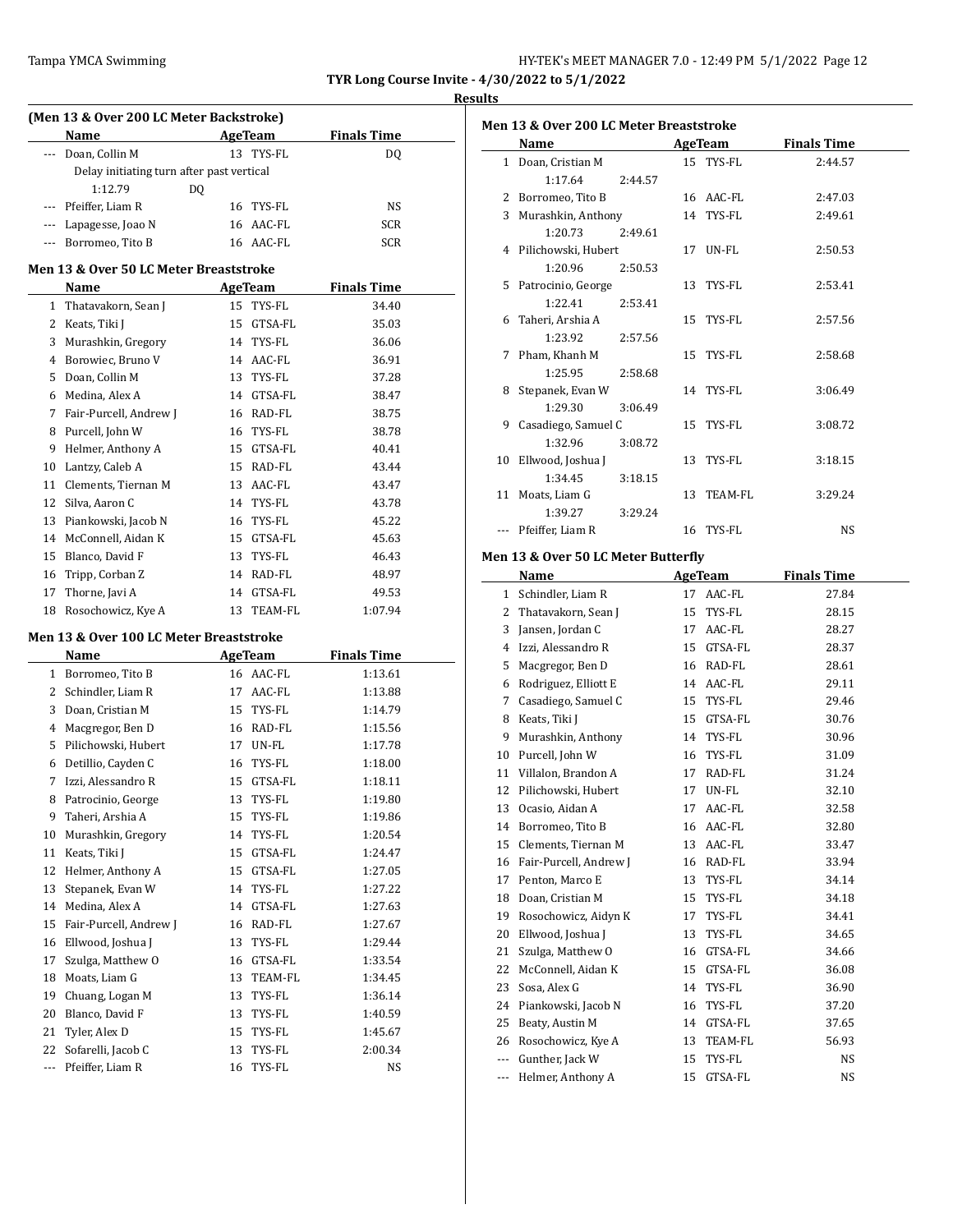| Tampa YMCA Swimming | HY-TEK's MEET MANAGER 7.0 - 12:49 PM 5/1/2022 Page 12 |
|---------------------|-------------------------------------------------------|
|---------------------|-------------------------------------------------------|

# **Results**

|              | Name                                      |    | AgeTeam    | <b>Finals Time</b> |
|--------------|-------------------------------------------|----|------------|--------------------|
| ---          | Doan, Collin M                            |    | 13 TYS-FL  | DQ                 |
|              | Delay initiating turn after past vertical |    |            |                    |
|              | 1:12.79                                   | DQ |            |                    |
| $\cdots$     | Pfeiffer. Liam R                          | 16 | TYS-FL     | NS                 |
|              | --- Lapagesse, Joao N                     |    | 16 AAC-FL  | SCR                |
| $---$        | Borromeo, Tito B                          |    | 16 AAC-FL  | SCR                |
|              |                                           |    |            |                    |
|              | Men 13 & Over 50 LC Meter Breaststroke    |    |            |                    |
|              | Name                                      |    | AgeTeam    | <b>Finals Time</b> |
| $\mathbf{1}$ | Thatavakorn, Sean J                       | 15 | TYS-FL     | 34.40              |
|              | 2 Keats, Tiki J                           | 15 | GTSA-FL    | 35.03              |
|              | 3 Murashkin, Gregory                      |    | 14 TYS-FL  | 36.06              |
|              | 4 Borowiec, Bruno V                       |    | 14 AAC-FL  | 36.91              |
| 5.           | Doan, Collin M                            |    | 13 TYS-FL  | 37.28              |
| 6            | Medina, Alex A                            |    | 14 GTSA-FL | 38.47              |
| 7            | Fair-Purcell, Andrew J                    |    | 16 RAD-FL  | 38.75              |
| 8            | Purcell, John W                           |    | 16 TYS-FL  | 38.78              |
| 9            | Helmer, Anthony A                         | 15 | GTSA-FL    | 40.41              |
|              | 10 Lantzy, Caleb A                        | 15 | RAD-FL     | 43.44              |
|              | 11 Clements, Tiernan M                    |    | 13 AAC-FL  | 43.47              |
|              | 12 Silva, Aaron C                         |    | 14 TYS-FL  | 43.78              |
|              | 13 Piankowski, Jacob N                    | 16 | TYS-FL     | 45.22              |
|              | 14 McConnell, Aidan K                     |    | 15 GTSA-FL | 45.63              |
|              | 15 Blanco, David F                        | 13 | TYS-FL     | 46.43              |
|              | 16 Tripp, Corban Z                        |    | 14 RAD-FL  | 48.97              |
|              | 17 Thorne, Javi A                         |    | 14 GTSA-FL | 49.53              |
| 18           | Rosochowicz, Kye A                        |    | 13 TEAM-FL | 1:07.94            |
|              |                                           |    |            |                    |
|              | Men 13 & Over 100 LC Meter Breaststroke   |    |            |                    |
|              | Name                                      |    | AgeTeam    | <b>Finals Time</b> |
|              | 1 Borromeo, Tito B                        |    | 16 AAC-FL  | 1:13.61            |
|              | 2 Schindler, Liam R                       |    | 17 AAC-FL  | 1:13.88            |
| 3            | Doan, Cristian M                          | 15 | TYS-FL     | 1:14.79            |
| 4            | Macgregor, Ben D                          |    | 16 RAD-FL  | 1:15.56            |
| 5            | Pilichowski, Hubert                       |    | 17 UN-FL   | 1:17.78            |
| 6            | Detillio, Cayden C                        | 16 | TYS-FL     | 1:18.00            |
| 7            | Izzi, Alessandro R                        | 15 | GTSA-FL    | 1:18.11            |
| 8            | Patrocinio, George                        | 13 | TYS-FL     | 1:19.80            |
| 9            | Taheri, Arshia A                          | 15 | TYS-FL     | 1:19.86            |
| 10           | Murashkin, Gregory                        | 14 | TYS-FL     | 1:20.54            |
| 11           | Keats, Tiki J                             | 15 | GTSA-FL    | 1:24.47            |
| 12           | Helmer, Anthony A                         | 15 | GTSA-FL    | 1:27.05            |
| 13           | Stepanek, Evan W                          | 14 | TYS-FL     | 1:27.22            |
| 14           | Medina, Alex A                            | 14 | GTSA-FL    | 1:27.63            |
| 15           | Fair-Purcell, Andrew J                    | 16 | RAD-FL     | 1:27.67            |
| 16           | Ellwood, Joshua J                         | 13 | TYS-FL     | 1:29.44            |
| 17           | Szulga, Matthew O                         | 16 | GTSA-FL    | 1:33.54            |
| 18           | Moats, Liam G                             | 13 | TEAM-FL    | 1:34.45            |
| 19           | Chuang, Logan M                           | 13 | TYS-FL     | 1:36.14            |
| 20           | Blanco, David F                           | 13 | TYS-FL     | 1:40.59            |
| 21           | Tyler, Alex D                             | 15 | TYS-FL     | 1:45.67            |
| 22           | Sofarelli, Jacob C                        | 13 | TYS-FL     | 2:00.34            |
|              | Pfeiffer, Liam R                          | 16 | TYS-FL     | NS                 |
| ---          |                                           |    |            |                    |

| <b>Finals Time</b><br>AgeTeam<br>Name<br>15 TYS-FL<br>2:44.57<br>1 Doan, Cristian M<br>1:17.64<br>2:44.57<br>2 Borromeo, Tito B<br>16 AAC-FL<br>2:47.03<br>Murashkin, Anthony<br>14 TYS-FL<br>2:49.61<br>3<br>1:20.73<br>2:49.61<br>4 Pilichowski, Hubert<br>17<br>UN-FL<br>2:50.53<br>2:50.53<br>1:20.96<br>5<br>Patrocinio, George<br>13 TYS-FL<br>2:53.41<br>1:22.41<br>2:53.41<br>Taheri, Arshia A<br>15 TYS-FL<br>2:57.56<br>6<br>1:23.92<br>2:57.56<br>Pham, Khanh M<br>15<br>TYS-FL<br>2:58.68<br>7<br>1:25.95<br>2:58.68<br>8 Stepanek, Evan W<br>14 TYS-FL<br>3:06.49<br>1:29.30<br>3:06.49<br>Casadiego, Samuel C<br>9<br>15<br>TYS-FL<br>3:08.72<br>1:32.96<br>3:08.72<br>Ellwood, Joshua J<br>TYS-FL<br>3:18.15<br>10<br>13 |  |
|-----------------------------------------------------------------------------------------------------------------------------------------------------------------------------------------------------------------------------------------------------------------------------------------------------------------------------------------------------------------------------------------------------------------------------------------------------------------------------------------------------------------------------------------------------------------------------------------------------------------------------------------------------------------------------------------------------------------------------------------|--|
|                                                                                                                                                                                                                                                                                                                                                                                                                                                                                                                                                                                                                                                                                                                                         |  |
|                                                                                                                                                                                                                                                                                                                                                                                                                                                                                                                                                                                                                                                                                                                                         |  |
|                                                                                                                                                                                                                                                                                                                                                                                                                                                                                                                                                                                                                                                                                                                                         |  |
|                                                                                                                                                                                                                                                                                                                                                                                                                                                                                                                                                                                                                                                                                                                                         |  |
|                                                                                                                                                                                                                                                                                                                                                                                                                                                                                                                                                                                                                                                                                                                                         |  |
|                                                                                                                                                                                                                                                                                                                                                                                                                                                                                                                                                                                                                                                                                                                                         |  |
|                                                                                                                                                                                                                                                                                                                                                                                                                                                                                                                                                                                                                                                                                                                                         |  |
|                                                                                                                                                                                                                                                                                                                                                                                                                                                                                                                                                                                                                                                                                                                                         |  |
|                                                                                                                                                                                                                                                                                                                                                                                                                                                                                                                                                                                                                                                                                                                                         |  |
|                                                                                                                                                                                                                                                                                                                                                                                                                                                                                                                                                                                                                                                                                                                                         |  |
|                                                                                                                                                                                                                                                                                                                                                                                                                                                                                                                                                                                                                                                                                                                                         |  |
|                                                                                                                                                                                                                                                                                                                                                                                                                                                                                                                                                                                                                                                                                                                                         |  |
|                                                                                                                                                                                                                                                                                                                                                                                                                                                                                                                                                                                                                                                                                                                                         |  |
|                                                                                                                                                                                                                                                                                                                                                                                                                                                                                                                                                                                                                                                                                                                                         |  |
|                                                                                                                                                                                                                                                                                                                                                                                                                                                                                                                                                                                                                                                                                                                                         |  |
|                                                                                                                                                                                                                                                                                                                                                                                                                                                                                                                                                                                                                                                                                                                                         |  |
|                                                                                                                                                                                                                                                                                                                                                                                                                                                                                                                                                                                                                                                                                                                                         |  |
|                                                                                                                                                                                                                                                                                                                                                                                                                                                                                                                                                                                                                                                                                                                                         |  |
|                                                                                                                                                                                                                                                                                                                                                                                                                                                                                                                                                                                                                                                                                                                                         |  |
| 1:34.45<br>3:18.15                                                                                                                                                                                                                                                                                                                                                                                                                                                                                                                                                                                                                                                                                                                      |  |
| 11 Moats, Liam G<br>TEAM-FL<br>3:29.24<br>13                                                                                                                                                                                                                                                                                                                                                                                                                                                                                                                                                                                                                                                                                            |  |
| 1:39.27<br>3:29.24                                                                                                                                                                                                                                                                                                                                                                                                                                                                                                                                                                                                                                                                                                                      |  |
| --- Pfeiffer, Liam R<br>16 TYS-FL<br>NS.                                                                                                                                                                                                                                                                                                                                                                                                                                                                                                                                                                                                                                                                                                |  |
| Men 13 & Over 50 LC Meter Butterfly                                                                                                                                                                                                                                                                                                                                                                                                                                                                                                                                                                                                                                                                                                     |  |
| <b>Finals Time</b><br>Name<br>AgeTeam                                                                                                                                                                                                                                                                                                                                                                                                                                                                                                                                                                                                                                                                                                   |  |
| 1 Schindler, Liam R<br>17 AAC-FL<br>27.84                                                                                                                                                                                                                                                                                                                                                                                                                                                                                                                                                                                                                                                                                               |  |
| 2 Thatavakorn, Sean J<br>15 TYS-FL<br>28.15                                                                                                                                                                                                                                                                                                                                                                                                                                                                                                                                                                                                                                                                                             |  |
| 3 Jansen, Jordan C<br>17 AAC-FL<br>28.27                                                                                                                                                                                                                                                                                                                                                                                                                                                                                                                                                                                                                                                                                                |  |
| 4 Izzi, Alessandro R<br>15 GTSA-FL<br>28.37                                                                                                                                                                                                                                                                                                                                                                                                                                                                                                                                                                                                                                                                                             |  |
| 5 Macgregor, Ben D<br>16 RAD-FL<br>28.61                                                                                                                                                                                                                                                                                                                                                                                                                                                                                                                                                                                                                                                                                                |  |
| 6 Rodriguez, Elliott E<br>14 AAC-FL<br>29.11                                                                                                                                                                                                                                                                                                                                                                                                                                                                                                                                                                                                                                                                                            |  |
| Casadiego, Samuel C<br>7<br>15 TYS-FL<br>29.46                                                                                                                                                                                                                                                                                                                                                                                                                                                                                                                                                                                                                                                                                          |  |
|                                                                                                                                                                                                                                                                                                                                                                                                                                                                                                                                                                                                                                                                                                                                         |  |

| 8        | Keats, Tiki J          | 15 | GTSA-FL | 30.76     |
|----------|------------------------|----|---------|-----------|
| 9        | Murashkin, Anthony     | 14 | TYS-FL  | 30.96     |
| 10       | Purcell, John W        | 16 | TYS-FL  | 31.09     |
| 11       | Villalon, Brandon A    | 17 | RAD-FL  | 31.24     |
| 12       | Pilichowski, Hubert    | 17 | UN-FL   | 32.10     |
| 13       | Ocasio, Aidan A        | 17 | AAC-FL  | 32.58     |
| 14       | Borromeo, Tito B       | 16 | AAC-FL  | 32.80     |
| 15       | Clements, Tiernan M    | 13 | AAC-FL  | 33.47     |
| 16       | Fair-Purcell, Andrew J | 16 | RAD-FL  | 33.94     |
| 17       | Penton, Marco E        | 13 | TYS-FL  | 34.14     |
| 18       | Doan, Cristian M       | 15 | TYS-FL  | 34.18     |
| 19       | Rosochowicz, Aidyn K   | 17 | TYS-FL  | 34.41     |
| 20       | Ellwood, Joshua J      | 13 | TYS-FL  | 34.65     |
| 21       | Szulga, Matthew O      | 16 | GTSA-FL | 34.66     |
| 22       | McConnell, Aidan K     | 15 | GTSA-FL | 36.08     |
| 23       | Sosa, Alex G           | 14 | TYS-FL  | 36.90     |
| 24       | Piankowski, Jacob N    | 16 | TYS-FL  | 37.20     |
| 25       | Beaty, Austin M        | 14 | GTSA-FL | 37.65     |
| 26       | Rosochowicz, Kye A     | 13 | TEAM-FL | 56.93     |
| $\cdots$ | Gunther, Jack W        | 15 | TYS-FL  | <b>NS</b> |

--- Helmer, Anthony A 15 GTSA-FL NS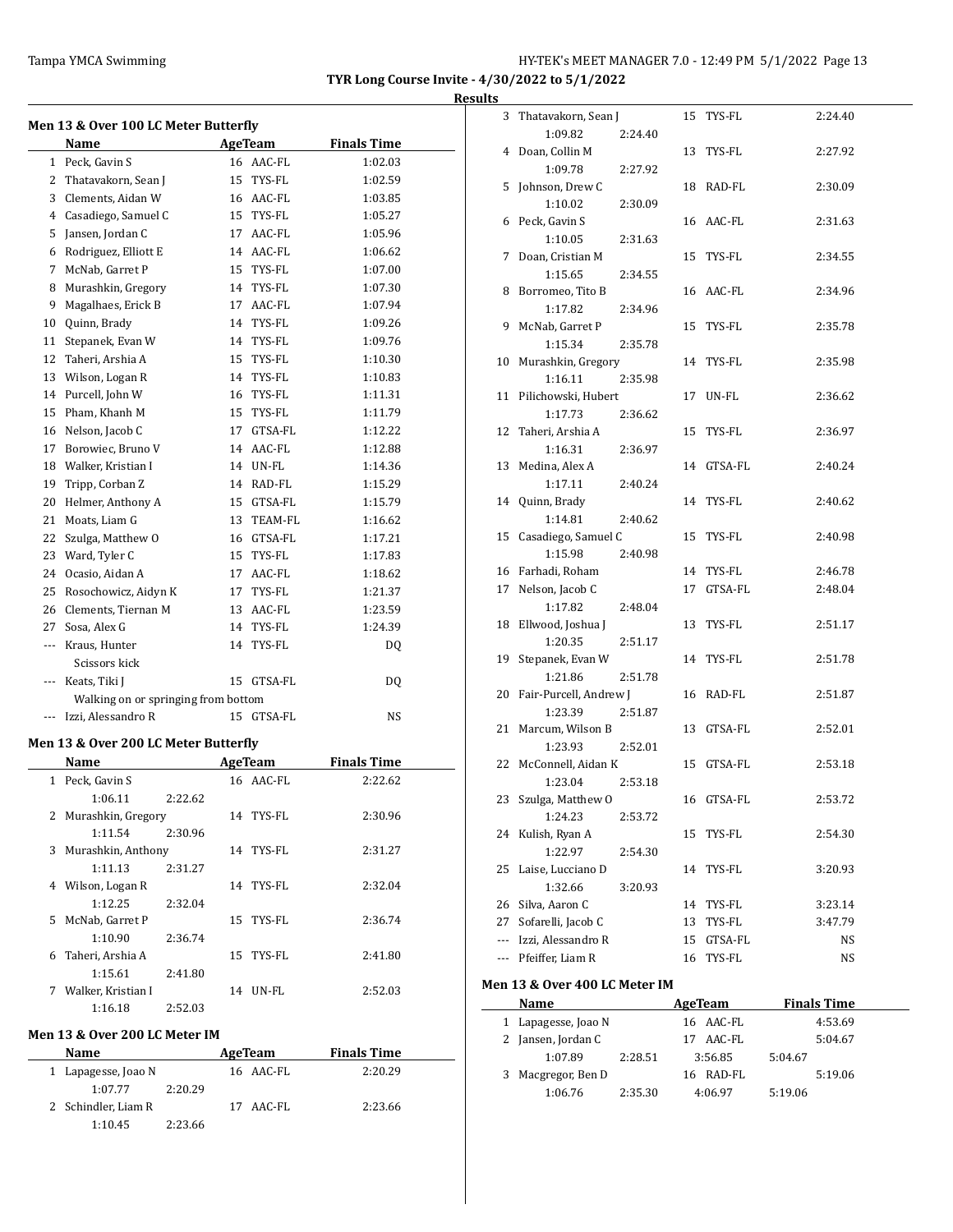|          |                                              |    |                |                    | <b>Results</b> |
|----------|----------------------------------------------|----|----------------|--------------------|----------------|
|          | Men 13 & Over 100 LC Meter Butterfly<br>Name |    | AgeTeam        | <b>Finals Time</b> |                |
|          | 1 Peck, Gavin S                              |    | 16 AAC-FL      | 1:02.03            |                |
|          | 2 Thatavakorn, Sean J                        |    | 15 TYS-FL      | 1:02.59            |                |
|          | 3 Clements, Aidan W                          |    | 16 AAC-FL      | 1:03.85            |                |
|          | 4 Casadiego, Samuel C                        |    | 15 TYS-FL      | 1:05.27            |                |
|          | 5 Jansen, Jordan C                           |    | 17 AAC-FL      | 1:05.96            |                |
|          | 6 Rodriguez, Elliott E                       |    | 14 AAC-FL      | 1:06.62            |                |
|          | 7 McNab, Garret P                            |    | 15 TYS-FL      | 1:07.00            |                |
| 8        | Murashkin, Gregory                           |    | 14 TYS-FL      | 1:07.30            |                |
| 9        | Magalhaes, Erick B                           |    | 17 AAC-FL      | 1:07.94            |                |
| 10       | Quinn, Brady                                 |    | 14 TYS-FL      | 1:09.26            |                |
| 11       | Stepanek, Evan W                             |    | 14 TYS-FL      | 1:09.76            |                |
|          | 12 Taheri, Arshia A                          |    | 15 TYS-FL      | 1:10.30            |                |
| 13       | Wilson, Logan R                              |    | 14 TYS-FL      | 1:10.83            |                |
|          | 14 Purcell, John W                           |    | 16 TYS-FL      | 1:11.31            |                |
|          | 15 Pham, Khanh M                             |    | 15 TYS-FL      | 1:11.79            |                |
|          | 16 Nelson, Jacob C                           | 17 | GTSA-FL        | 1:12.22            |                |
|          | 17 Borowiec, Bruno V                         |    | 14 AAC-FL      | 1:12.88            |                |
|          | 18 Walker, Kristian I                        |    | 14 UN-FL       | 1:14.36            |                |
|          | 19 Tripp, Corban Z                           |    | 14 RAD-FL      | 1:15.29            |                |
|          | Helmer, Anthony A                            |    | 15 GTSA-FL     | 1:15.79            |                |
| 20<br>21 | Moats. Liam G                                |    | 13 TEAM-FL     |                    |                |
| 22       |                                              |    | 16 GTSA-FL     | 1:16.62            |                |
|          | Szulga, Matthew O                            |    |                | 1:17.21            |                |
|          | 23 Ward, Tyler C                             |    | 15 TYS-FL      | 1:17.83            |                |
|          | 24 Ocasio, Aidan A                           |    | 17 AAC-FL      | 1:18.62            |                |
| 25       | Rosochowicz, Aidyn K                         |    | 17 TYS-FL      | 1:21.37            |                |
|          | 26 Clements, Tiernan M                       |    | 13 AAC-FL      | 1:23.59            |                |
|          | 27 Sosa, Alex G                              |    | 14 TYS-FL      | 1:24.39            |                |
| ---      | Kraus, Hunter<br>Scissors kick               |    | 14 TYS-FL      | DQ                 |                |
|          | --- Keats, Tiki J                            |    | 15 GTSA-FL     | DQ                 |                |
|          | Walking on or springing from bottom          |    |                |                    |                |
|          | Izzi, Alessandro R                           |    | 15 GTSA-FL     | NS                 |                |
|          | Men 13 & Over 200 LC Meter Butterfly<br>Name |    | <b>AgeTeam</b> | <b>Finals Time</b> |                |
| 1        | Peck, Gavin S                                |    | 16 AAC-FL      | 2:22.62            |                |
|          | 1:06.11<br>2:22.62                           |    |                |                    |                |
|          | 2 Murashkin, Gregory                         |    | 14 TYS-FL      | 2:30.96            |                |
|          | 1:11.54<br>2:30.96                           |    |                |                    |                |
|          | 3 Murashkin, Anthony                         |    | 14 TYS-FL      | 2:31.27            |                |
|          | 1:11.13<br>2:31.27                           |    |                |                    |                |
|          | 4 Wilson, Logan R                            |    | 14 TYS-FL      | 2:32.04            |                |
|          | 1:12.25<br>2:32.04                           |    |                |                    |                |
|          | 5 McNab, Garret P                            |    | 15 TYS-FL      | 2:36.74            |                |
|          | 1:10.90<br>2:36.74                           |    |                |                    |                |
|          | 6 Taheri, Arshia A                           |    | 15 TYS-FL      | 2:41.80            |                |
|          |                                              |    |                |                    |                |

1:15.61 2:41.80

1:16.18 2:52.03

1:07.77 2:20.29

1:10.45 2:23.66

**Men 13 & Over 200 LC Meter IM**

7 Walker, Kristian I 14 UN-FL 2:52.03

**Name Age Team Finals Time** 1 Lapagesse, Joao N 16 AAC-FL 2:20.29

2 Schindler, Liam R 17 AAC-FL 2:23.66

| սււթ                          |                                         |         |    |                         |                    |  |  |  |
|-------------------------------|-----------------------------------------|---------|----|-------------------------|--------------------|--|--|--|
| 3                             | Thatavakorn, Sean J                     |         |    | 15 TYS-FL               | 2:24.40            |  |  |  |
|                               | 1:09.82                                 | 2:24.40 |    |                         |                    |  |  |  |
|                               | 4 Doan, Collin M                        |         |    | 13 TYS-FL               | 2:27.92            |  |  |  |
|                               | 1:09.78                                 | 2:27.92 |    |                         |                    |  |  |  |
|                               | 5 Johnson, Drew C                       |         |    | 18 RAD-FL               | 2:30.09            |  |  |  |
|                               | 1:10.02                                 | 2:30.09 |    |                         |                    |  |  |  |
|                               | 6 Peck, Gavin S                         |         |    | 16 AAC-FL               | 2:31.63            |  |  |  |
|                               | 1:10.05                                 | 2:31.63 |    |                         |                    |  |  |  |
|                               | 7 Doan, Cristian M                      |         |    | 15 TYS-FL               | 2:34.55            |  |  |  |
|                               | 1:15.65                                 | 2:34.55 |    |                         |                    |  |  |  |
|                               | 8 Borromeo, Tito B                      |         |    | 16 AAC-FL               | 2:34.96            |  |  |  |
|                               | 1:17.82                                 | 2:34.96 |    |                         |                    |  |  |  |
|                               | 9 McNab, Garret P                       |         |    | 15 TYS-FL               | 2:35.78            |  |  |  |
|                               | 1:15.34                                 | 2:35.78 |    |                         |                    |  |  |  |
|                               | 10 Murashkin, Gregory                   |         |    | 14 TYS-FL               | 2:35.98            |  |  |  |
|                               | 1:16.11<br>2:35.98                      |         |    |                         |                    |  |  |  |
|                               | 11 Pilichowski, Hubert                  |         |    | 17 UN-FL                | 2:36.62            |  |  |  |
|                               | 1:17.73                                 | 2:36.62 |    |                         |                    |  |  |  |
|                               | 12 Taheri, Arshia A                     |         |    | 15 TYS-FL               | 2:36.97            |  |  |  |
|                               | 1:16.31                                 | 2:36.97 |    |                         |                    |  |  |  |
|                               | 13 Medina, Alex A                       |         |    | 14 GTSA-FL              | 2:40.24            |  |  |  |
|                               | 1:17.11                                 | 2:40.24 |    |                         |                    |  |  |  |
|                               | 14 Quinn, Brady                         |         |    | 14 TYS-FL               | 2:40.62            |  |  |  |
|                               | 1:14.81                                 | 2:40.62 |    |                         |                    |  |  |  |
|                               | 15 Casadiego, Samuel C                  |         |    | 15 TYS-FL               | 2:40.98            |  |  |  |
|                               | 1:15.98                                 | 2:40.98 |    |                         |                    |  |  |  |
|                               | 16 Farhadi, Roham<br>17 Nelson, Jacob C |         |    | 14 TYS-FL<br>17 GTSA-FL | 2:46.78<br>2:48.04 |  |  |  |
|                               | 1:17.82                                 |         |    |                         |                    |  |  |  |
|                               | 18 Ellwood, Joshua J                    | 2:48.04 |    | 13 TYS-FL               | 2:51.17            |  |  |  |
|                               | 1:20.35                                 | 2:51.17 |    |                         |                    |  |  |  |
|                               | 19 Stepanek, Evan W                     |         |    | 14 TYS-FL               | 2:51.78            |  |  |  |
|                               | 1:21.86                                 | 2:51.78 |    |                         |                    |  |  |  |
|                               | 20 Fair-Purcell, Andrew J               |         |    |                         | 2:51.87            |  |  |  |
|                               | 16 RAD-FL<br>1:23.39<br>2:51.87         |         |    |                         |                    |  |  |  |
|                               | 21 Marcum, Wilson B                     |         |    | 13 GTSA-FL              | 2:52.01            |  |  |  |
|                               | 1:23.93                                 | 2:52.01 |    |                         |                    |  |  |  |
|                               | 22 McConnell, Aidan K                   |         |    | 15 GTSA-FL              | 2:53.18            |  |  |  |
|                               | 1:23.04                                 | 2:53.18 |    |                         |                    |  |  |  |
|                               | 23 Szulga, Matthew O                    |         |    | 16 GTSA-FL              | 2:53.72            |  |  |  |
|                               | 1:24.23                                 | 2:53.72 |    |                         |                    |  |  |  |
| 24                            | Kulish, Ryan A                          |         | 15 | TYS-FL                  | 2:54.30            |  |  |  |
|                               | 1:22.97                                 | 2:54.30 |    |                         |                    |  |  |  |
| 25                            | Laise, Lucciano D                       |         |    | 14 TYS-FL               | 3:20.93            |  |  |  |
|                               | 1:32.66                                 | 3:20.93 |    |                         |                    |  |  |  |
|                               | 26 Silva, Aaron C                       |         |    | 14 TYS-FL               | 3:23.14            |  |  |  |
|                               | 27 Sofarelli, Jacob C                   |         |    | 13 TYS-FL               | 3:47.79            |  |  |  |
|                               | --- Izzi, Alessandro R                  |         |    | 15 GTSA-FL              | NS                 |  |  |  |
|                               | --- Pfeiffer, Liam R                    |         | 16 | TYS-FL                  | NS                 |  |  |  |
|                               |                                         |         |    |                         |                    |  |  |  |
| Men 13 & Over 400 LC Meter IM |                                         |         |    |                         |                    |  |  |  |

| Name                |         | AgeTeam      | <b>Finals Time</b> |         |
|---------------------|---------|--------------|--------------------|---------|
| 1 Lapagesse, Joao N |         | 16 AAC-FL    |                    | 4:53.69 |
| 2 Jansen, Jordan C  |         | AAC-FL<br>17 |                    | 5:04.67 |
| 1:07.89             | 2:28.51 | 3:56.85      | 5:04.67            |         |
| 3 Macgregor, Ben D  |         | 16 RAD-FL    |                    | 5:19.06 |
| 1:06.76             | 2:35.30 | 4:06.97      | 5:19.06            |         |